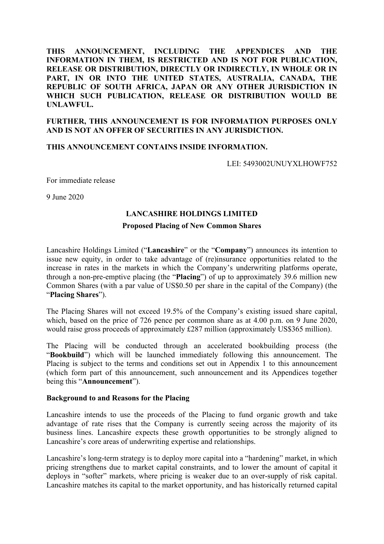#### **THIS ANNOUNCEMENT, INCLUDING THE APPENDICES AND THE INFORMATION IN THEM, IS RESTRICTED AND IS NOT FOR PUBLICATION, RELEASE OR DISTRIBUTION, DIRECTLY OR INDIRECTLY, IN WHOLE OR IN PART, IN OR INTO THE UNITED STATES, AUSTRALIA, CANADA, THE REPUBLIC OF SOUTH AFRICA, JAPAN OR ANY OTHER JURISDICTION IN WHICH SUCH PUBLICATION, RELEASE OR DISTRIBUTION WOULD BE UNLAWFUL.**

#### **FURTHER, THIS ANNOUNCEMENT IS FOR INFORMATION PURPOSES ONLY AND IS NOT AN OFFER OF SECURITIES IN ANY JURISDICTION.**

#### **THIS ANNOUNCEMENT CONTAINS INSIDE INFORMATION.**

LEI: 5493002UNUYXLHOWF752

For immediate release

9 June 2020

#### **LANCASHIRE HOLDINGS LIMITED**

#### **Proposed Placing of New Common Shares**

Lancashire Holdings Limited ("**Lancashire**" or the "**Company**") announces its intention to issue new equity, in order to take advantage of (re)insurance opportunities related to the increase in rates in the markets in which the Company's underwriting platforms operate, through a non-pre-emptive placing (the "**Placing**") of up to approximately 39.6 million new Common Shares (with a par value of US\$0.50 per share in the capital of the Company) (the "**Placing Shares**").

The Placing Shares will not exceed 19.5% of the Company's existing issued share capital, which, based on the price of 726 pence per common share as at 4.00 p.m. on 9 June 2020, would raise gross proceeds of approximately £287 million (approximately US\$365 million).

The Placing will be conducted through an accelerated bookbuilding process (the "**Bookbuild**") which will be launched immediately following this announcement. The Placing is subject to the terms and conditions set out in Appendix 1 to this announcement (which form part of this announcement, such announcement and its Appendices together being this "**Announcement**").

#### **Background to and Reasons for the Placing**

Lancashire intends to use the proceeds of the Placing to fund organic growth and take advantage of rate rises that the Company is currently seeing across the majority of its business lines. Lancashire expects these growth opportunities to be strongly aligned to Lancashire's core areas of underwriting expertise and relationships.

Lancashire's long-term strategy is to deploy more capital into a "hardening" market, in which pricing strengthens due to market capital constraints, and to lower the amount of capital it deploys in "softer" markets, where pricing is weaker due to an over-supply of risk capital. Lancashire matches its capital to the market opportunity, and has historically returned capital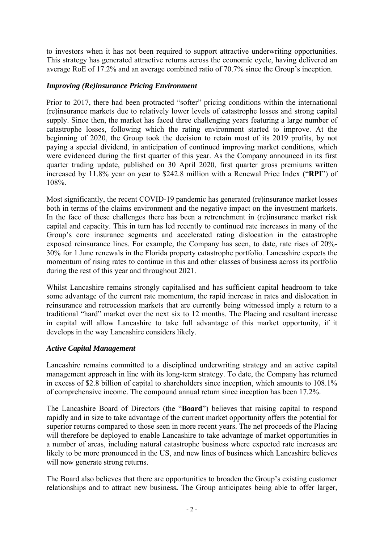to investors when it has not been required to support attractive underwriting opportunities. This strategy has generated attractive returns across the economic cycle, having delivered an average RoE of 17.2% and an average combined ratio of 70.7% since the Group's inception.

#### *Improving (Re)insurance Pricing Environment*

Prior to 2017, there had been protracted "softer" pricing conditions within the international (re)insurance markets due to relatively lower levels of catastrophe losses and strong capital supply. Since then, the market has faced three challenging years featuring a large number of catastrophe losses, following which the rating environment started to improve. At the beginning of 2020, the Group took the decision to retain most of its 2019 profits, by not paying a special dividend, in anticipation of continued improving market conditions, which were evidenced during the first quarter of this year. As the Company announced in its first quarter trading update, published on 30 April 2020, first quarter gross premiums written increased by 11.8% year on year to \$242.8 million with a Renewal Price Index ("**RPI**") of 108%.

Most significantly, the recent COVID-19 pandemic has generated (re)insurance market losses both in terms of the claims environment and the negative impact on the investment markets. In the face of these challenges there has been a retrenchment in (re)insurance market risk capital and capacity. This in turn has led recently to continued rate increases in many of the Group's core insurance segments and accelerated rating dislocation in the catastrophe exposed reinsurance lines. For example, the Company has seen, to date, rate rises of 20%- 30% for 1 June renewals in the Florida property catastrophe portfolio. Lancashire expects the momentum of rising rates to continue in this and other classes of business across its portfolio during the rest of this year and throughout 2021.

Whilst Lancashire remains strongly capitalised and has sufficient capital headroom to take some advantage of the current rate momentum, the rapid increase in rates and dislocation in reinsurance and retrocession markets that are currently being witnessed imply a return to a traditional "hard" market over the next six to 12 months. The Placing and resultant increase in capital will allow Lancashire to take full advantage of this market opportunity, if it develops in the way Lancashire considers likely.

### *Active Capital Management*

Lancashire remains committed to a disciplined underwriting strategy and an active capital management approach in line with its long-term strategy. To date, the Company has returned in excess of \$2.8 billion of capital to shareholders since inception, which amounts to 108.1% of comprehensive income. The compound annual return since inception has been 17.2%.

The Lancashire Board of Directors (the "**Board**") believes that raising capital to respond rapidly and in size to take advantage of the current market opportunity offers the potential for superior returns compared to those seen in more recent years. The net proceeds of the Placing will therefore be deployed to enable Lancashire to take advantage of market opportunities in a number of areas, including natural catastrophe business where expected rate increases are likely to be more pronounced in the US, and new lines of business which Lancashire believes will now generate strong returns.

The Board also believes that there are opportunities to broaden the Group's existing customer relationships and to attract new business**.** The Group anticipates being able to offer larger,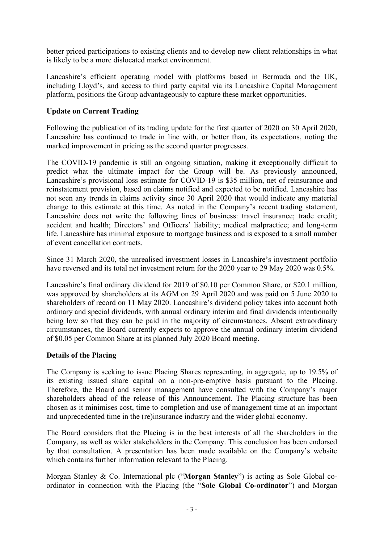better priced participations to existing clients and to develop new client relationships in what is likely to be a more dislocated market environment.

Lancashire's efficient operating model with platforms based in Bermuda and the UK, including Lloyd's, and access to third party capital via its Lancashire Capital Management platform, positions the Group advantageously to capture these market opportunities.

## **Update on Current Trading**

Following the publication of its trading update for the first quarter of 2020 on 30 April 2020, Lancashire has continued to trade in line with, or better than, its expectations, noting the marked improvement in pricing as the second quarter progresses.

The COVID-19 pandemic is still an ongoing situation, making it exceptionally difficult to predict what the ultimate impact for the Group will be. As previously announced, Lancashire's provisional loss estimate for COVID-19 is \$35 million, net of reinsurance and reinstatement provision, based on claims notified and expected to be notified. Lancashire has not seen any trends in claims activity since 30 April 2020 that would indicate any material change to this estimate at this time. As noted in the Company's recent trading statement, Lancashire does not write the following lines of business: travel insurance; trade credit; accident and health; Directors' and Officers' liability; medical malpractice; and long-term life. Lancashire has minimal exposure to mortgage business and is exposed to a small number of event cancellation contracts.

Since 31 March 2020, the unrealised investment losses in Lancashire's investment portfolio have reversed and its total net investment return for the 2020 year to 29 May 2020 was 0.5%.

Lancashire's final ordinary dividend for 2019 of \$0.10 per Common Share, or \$20.1 million, was approved by shareholders at its AGM on 29 April 2020 and was paid on 5 June 2020 to shareholders of record on 11 May 2020. Lancashire's dividend policy takes into account both ordinary and special dividends, with annual ordinary interim and final dividends intentionally being low so that they can be paid in the majority of circumstances. Absent extraordinary circumstances, the Board currently expects to approve the annual ordinary interim dividend of \$0.05 per Common Share at its planned July 2020 Board meeting.

### **Details of the Placing**

The Company is seeking to issue Placing Shares representing, in aggregate, up to 19.5% of its existing issued share capital on a non-pre-emptive basis pursuant to the Placing. Therefore, the Board and senior management have consulted with the Company's major shareholders ahead of the release of this Announcement. The Placing structure has been chosen as it minimises cost, time to completion and use of management time at an important and unprecedented time in the (re)insurance industry and the wider global economy.

The Board considers that the Placing is in the best interests of all the shareholders in the Company, as well as wider stakeholders in the Company. This conclusion has been endorsed by that consultation. A presentation has been made available on the Company's website which contains further information relevant to the Placing.

Morgan Stanley & Co. International plc ("**Morgan Stanley**") is acting as Sole Global coordinator in connection with the Placing (the "**Sole Global Co-ordinator**") and Morgan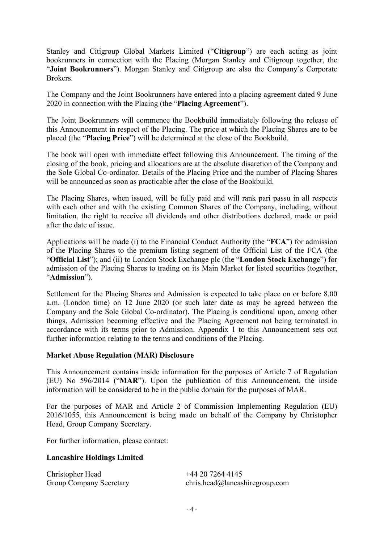Stanley and Citigroup Global Markets Limited ("**Citigroup**") are each acting as joint bookrunners in connection with the Placing (Morgan Stanley and Citigroup together, the "**Joint Bookrunners**"). Morgan Stanley and Citigroup are also the Company's Corporate Brokers.

The Company and the Joint Bookrunners have entered into a placing agreement dated 9 June 2020 in connection with the Placing (the "**Placing Agreement**").

The Joint Bookrunners will commence the Bookbuild immediately following the release of this Announcement in respect of the Placing. The price at which the Placing Shares are to be placed (the "**Placing Price**") will be determined at the close of the Bookbuild.

The book will open with immediate effect following this Announcement. The timing of the closing of the book, pricing and allocations are at the absolute discretion of the Company and the Sole Global Co-ordinator. Details of the Placing Price and the number of Placing Shares will be announced as soon as practicable after the close of the Bookbuild.

The Placing Shares, when issued, will be fully paid and will rank pari passu in all respects with each other and with the existing Common Shares of the Company, including, without limitation, the right to receive all dividends and other distributions declared, made or paid after the date of issue.

Applications will be made (i) to the Financial Conduct Authority (the "**FCA**") for admission of the Placing Shares to the premium listing segment of the Official List of the FCA (the "**Official List**"); and (ii) to London Stock Exchange plc (the "**London Stock Exchange**") for admission of the Placing Shares to trading on its Main Market for listed securities (together, "**Admission**").

Settlement for the Placing Shares and Admission is expected to take place on or before 8.00 a.m. (London time) on 12 June 2020 (or such later date as may be agreed between the Company and the Sole Global Co-ordinator). The Placing is conditional upon, among other things, Admission becoming effective and the Placing Agreement not being terminated in accordance with its terms prior to Admission. Appendix 1 to this Announcement sets out further information relating to the terms and conditions of the Placing.

### **Market Abuse Regulation (MAR) Disclosure**

This Announcement contains inside information for the purposes of Article 7 of Regulation (EU) No 596/2014 ("**MAR**"). Upon the publication of this Announcement, the inside information will be considered to be in the public domain for the purposes of MAR.

For the purposes of MAR and Article 2 of Commission Implementing Regulation (EU) 2016/1055, this Announcement is being made on behalf of the Company by Christopher Head, Group Company Secretary.

For further information, please contact:

#### **Lancashire Holdings Limited**

| Christopher Head               | +44 20 7264 4145               |
|--------------------------------|--------------------------------|
| <b>Group Company Secretary</b> | chris.head@lancashiregroup.com |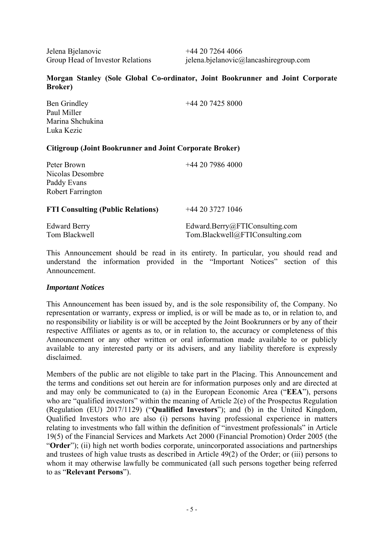Jelena Bjelanovic +44 20 7264 4066

Group Head of Investor Relations jelena.bjelanovic@lancashiregroup.com

#### **Morgan Stanley (Sole Global Co-ordinator, Joint Bookrunner and Joint Corporate Broker)**

Paul Miller Marina Shchukina Luka Kezic

Ben Grindley +44 20 7425 8000

# **Citigroup (Joint Bookrunner and Joint Corporate Broker)**

| Peter Brown<br>Nicolas Desombre<br>Paddy Evans<br>Robert Farrington | $+442079864000$                                                   |
|---------------------------------------------------------------------|-------------------------------------------------------------------|
| <b>FTI Consulting (Public Relations)</b>                            | $+442037271046$                                                   |
| <b>Edward Berry</b><br>Tom Blackwell                                | Edward.Berry@FTIConsulting.com<br>Tom.Blackwell@FTIConsulting.com |

This Announcement should be read in its entirety. In particular, you should read and understand the information provided in the "Important Notices" section of this Announcement.

### *Important Notices*

This Announcement has been issued by, and is the sole responsibility of, the Company. No representation or warranty, express or implied, is or will be made as to, or in relation to, and no responsibility or liability is or will be accepted by the Joint Bookrunners or by any of their respective Affiliates or agents as to, or in relation to, the accuracy or completeness of this Announcement or any other written or oral information made available to or publicly available to any interested party or its advisers, and any liability therefore is expressly disclaimed.

Members of the public are not eligible to take part in the Placing. This Announcement and the terms and conditions set out herein are for information purposes only and are directed at and may only be communicated to (a) in the European Economic Area ("**EEA**"), persons who are "qualified investors" within the meaning of Article 2(e) of the Prospectus Regulation (Regulation (EU) 2017/1129) ("**Qualified Investors**"); and (b) in the United Kingdom, Qualified Investors who are also (i) persons having professional experience in matters relating to investments who fall within the definition of "investment professionals" in Article 19(5) of the Financial Services and Markets Act 2000 (Financial Promotion) Order 2005 (the "**Order**"); (ii) high net worth bodies corporate, unincorporated associations and partnerships and trustees of high value trusts as described in Article 49(2) of the Order; or (iii) persons to whom it may otherwise lawfully be communicated (all such persons together being referred to as "**Relevant Persons**").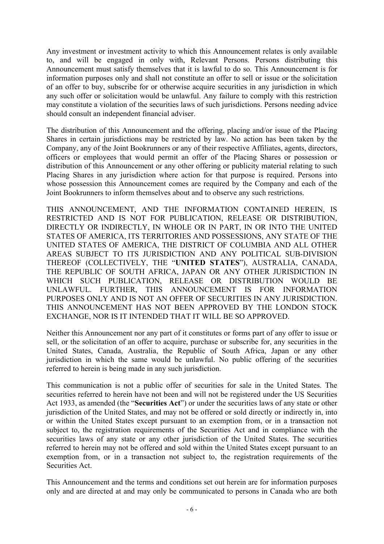Any investment or investment activity to which this Announcement relates is only available to, and will be engaged in only with, Relevant Persons. Persons distributing this Announcement must satisfy themselves that it is lawful to do so. This Announcement is for information purposes only and shall not constitute an offer to sell or issue or the solicitation of an offer to buy, subscribe for or otherwise acquire securities in any jurisdiction in which any such offer or solicitation would be unlawful. Any failure to comply with this restriction may constitute a violation of the securities laws of such jurisdictions. Persons needing advice should consult an independent financial adviser.

The distribution of this Announcement and the offering, placing and/or issue of the Placing Shares in certain jurisdictions may be restricted by law. No action has been taken by the Company, any of the Joint Bookrunners or any of their respective Affiliates, agents, directors, officers or employees that would permit an offer of the Placing Shares or possession or distribution of this Announcement or any other offering or publicity material relating to such Placing Shares in any jurisdiction where action for that purpose is required. Persons into whose possession this Announcement comes are required by the Company and each of the Joint Bookrunners to inform themselves about and to observe any such restrictions.

THIS ANNOUNCEMENT, AND THE INFORMATION CONTAINED HEREIN, IS RESTRICTED AND IS NOT FOR PUBLICATION, RELEASE OR DISTRIBUTION, DIRECTLY OR INDIRECTLY, IN WHOLE OR IN PART, IN OR INTO THE UNITED STATES OF AMERICA, ITS TERRITORIES AND POSSESSIONS, ANY STATE OF THE UNITED STATES OF AMERICA, THE DISTRICT OF COLUMBIA AND ALL OTHER AREAS SUBJECT TO ITS JURISDICTION AND ANY POLITICAL SUB-DIVISION THEREOF (COLLECTIVELY, THE "**UNITED STATES**"), AUSTRALIA, CANADA, THE REPUBLIC OF SOUTH AFRICA, JAPAN OR ANY OTHER JURISDICTION IN WHICH SUCH PUBLICATION, RELEASE OR DISTRIBUTION WOULD BE UNLAWFUL. FURTHER, THIS ANNOUNCEMENT IS FOR INFORMATION PURPOSES ONLY AND IS NOT AN OFFER OF SECURITIES IN ANY JURISDICTION. THIS ANNOUNCEMENT HAS NOT BEEN APPROVED BY THE LONDON STOCK EXCHANGE, NOR IS IT INTENDED THAT IT WILL BE SO APPROVED.

Neither this Announcement nor any part of it constitutes or forms part of any offer to issue or sell, or the solicitation of an offer to acquire, purchase or subscribe for, any securities in the United States, Canada, Australia, the Republic of South Africa, Japan or any other jurisdiction in which the same would be unlawful. No public offering of the securities referred to herein is being made in any such jurisdiction.

This communication is not a public offer of securities for sale in the United States. The securities referred to herein have not been and will not be registered under the US Securities Act 1933, as amended (the "**Securities Act**") or under the securities laws of any state or other jurisdiction of the United States, and may not be offered or sold directly or indirectly in, into or within the United States except pursuant to an exemption from, or in a transaction not subject to, the registration requirements of the Securities Act and in compliance with the securities laws of any state or any other jurisdiction of the United States. The securities referred to herein may not be offered and sold within the United States except pursuant to an exemption from, or in a transaction not subject to, the registration requirements of the Securities Act.

This Announcement and the terms and conditions set out herein are for information purposes only and are directed at and may only be communicated to persons in Canada who are both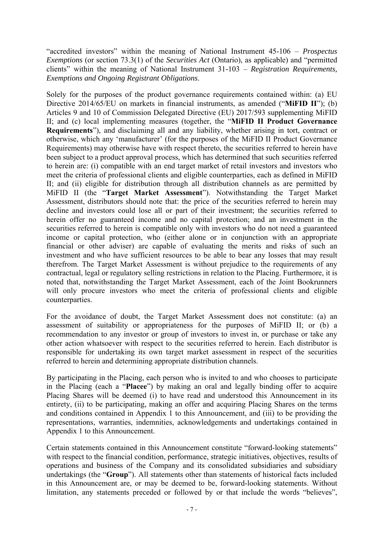"accredited investors" within the meaning of National Instrument 45-106 – *Prospectus Exemptions* (or section 73.3(1) of the *Securities Act* (Ontario), as applicable) and "permitted clients" within the meaning of National Instrument 31-103 – *Registration Requirements, Exemptions and Ongoing Registrant Obligations*.

Solely for the purposes of the product governance requirements contained within: (a) EU Directive 2014/65/EU on markets in financial instruments, as amended ("**MiFID II**"); (b) Articles 9 and 10 of Commission Delegated Directive (EU) 2017/593 supplementing MiFID II; and (c) local implementing measures (together, the "**MiFID II Product Governance Requirements**"), and disclaiming all and any liability, whether arising in tort, contract or otherwise, which any 'manufacturer' (for the purposes of the MiFID II Product Governance Requirements) may otherwise have with respect thereto, the securities referred to herein have been subject to a product approval process, which has determined that such securities referred to herein are: (i) compatible with an end target market of retail investors and investors who meet the criteria of professional clients and eligible counterparties, each as defined in MiFID II; and (ii) eligible for distribution through all distribution channels as are permitted by MiFID II (the "**Target Market Assessment**"). Notwithstanding the Target Market Assessment, distributors should note that: the price of the securities referred to herein may decline and investors could lose all or part of their investment; the securities referred to herein offer no guaranteed income and no capital protection; and an investment in the securities referred to herein is compatible only with investors who do not need a guaranteed income or capital protection, who (either alone or in conjunction with an appropriate financial or other adviser) are capable of evaluating the merits and risks of such an investment and who have sufficient resources to be able to bear any losses that may result therefrom. The Target Market Assessment is without prejudice to the requirements of any contractual, legal or regulatory selling restrictions in relation to the Placing. Furthermore, it is noted that, notwithstanding the Target Market Assessment, each of the Joint Bookrunners will only procure investors who meet the criteria of professional clients and eligible counterparties.

For the avoidance of doubt, the Target Market Assessment does not constitute: (a) an assessment of suitability or appropriateness for the purposes of MiFID II; or (b) a recommendation to any investor or group of investors to invest in, or purchase or take any other action whatsoever with respect to the securities referred to herein. Each distributor is responsible for undertaking its own target market assessment in respect of the securities referred to herein and determining appropriate distribution channels.

By participating in the Placing, each person who is invited to and who chooses to participate in the Placing (each a "**Placee**") by making an oral and legally binding offer to acquire Placing Shares will be deemed (i) to have read and understood this Announcement in its entirety, (ii) to be participating, making an offer and acquiring Placing Shares on the terms and conditions contained in Appendix 1 to this Announcement, and (iii) to be providing the representations, warranties, indemnities, acknowledgements and undertakings contained in Appendix 1 to this Announcement.

Certain statements contained in this Announcement constitute "forward-looking statements" with respect to the financial condition, performance, strategic initiatives, objectives, results of operations and business of the Company and its consolidated subsidiaries and subsidiary undertakings (the "**Group**"). All statements other than statements of historical facts included in this Announcement are, or may be deemed to be, forward-looking statements. Without limitation, any statements preceded or followed by or that include the words "believes",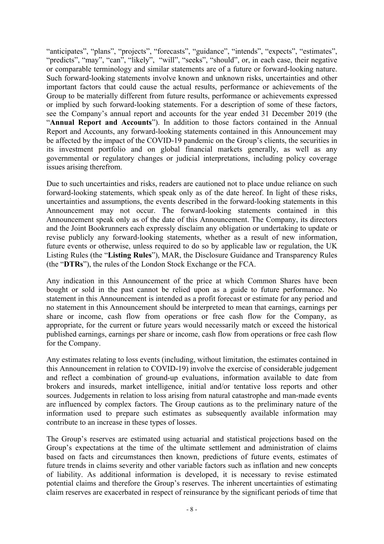"anticipates", "plans", "projects", "forecasts", "guidance", "intends", "expects", "estimates", "predicts", "may", "can", "likely", "will", "seeks", "should", or, in each case, their negative or comparable terminology and similar statements are of a future or forward-looking nature. Such forward-looking statements involve known and unknown risks, uncertainties and other important factors that could cause the actual results, performance or achievements of the Group to be materially different from future results, performance or achievements expressed or implied by such forward-looking statements. For a description of some of these factors, see the Company's annual report and accounts for the year ended 31 December 2019 (the "**Annual Report and Accounts**"). In addition to those factors contained in the Annual Report and Accounts, any forward-looking statements contained in this Announcement may be affected by the impact of the COVID-19 pandemic on the Group's clients, the securities in its investment portfolio and on global financial markets generally, as well as any governmental or regulatory changes or judicial interpretations, including policy coverage issues arising therefrom.

Due to such uncertainties and risks, readers are cautioned not to place undue reliance on such forward-looking statements, which speak only as of the date hereof. In light of these risks, uncertainties and assumptions, the events described in the forward-looking statements in this Announcement may not occur. The forward-looking statements contained in this Announcement speak only as of the date of this Announcement. The Company, its directors and the Joint Bookrunners each expressly disclaim any obligation or undertaking to update or revise publicly any forward-looking statements, whether as a result of new information, future events or otherwise, unless required to do so by applicable law or regulation, the UK Listing Rules (the "**Listing Rules**"), MAR, the Disclosure Guidance and Transparency Rules (the "**DTRs**"), the rules of the London Stock Exchange or the FCA.

Any indication in this Announcement of the price at which Common Shares have been bought or sold in the past cannot be relied upon as a guide to future performance. No statement in this Announcement is intended as a profit forecast or estimate for any period and no statement in this Announcement should be interpreted to mean that earnings, earnings per share or income, cash flow from operations or free cash flow for the Company, as appropriate, for the current or future years would necessarily match or exceed the historical published earnings, earnings per share or income, cash flow from operations or free cash flow for the Company.

Any estimates relating to loss events (including, without limitation, the estimates contained in this Announcement in relation to COVID-19) involve the exercise of considerable judgement and reflect a combination of ground-up evaluations, information available to date from brokers and insureds, market intelligence, initial and/or tentative loss reports and other sources. Judgements in relation to loss arising from natural catastrophe and man-made events are influenced by complex factors. The Group cautions as to the preliminary nature of the information used to prepare such estimates as subsequently available information may contribute to an increase in these types of losses.

The Group's reserves are estimated using actuarial and statistical projections based on the Group's expectations at the time of the ultimate settlement and administration of claims based on facts and circumstances then known, predictions of future events, estimates of future trends in claims severity and other variable factors such as inflation and new concepts of liability. As additional information is developed, it is necessary to revise estimated potential claims and therefore the Group's reserves. The inherent uncertainties of estimating claim reserves are exacerbated in respect of reinsurance by the significant periods of time that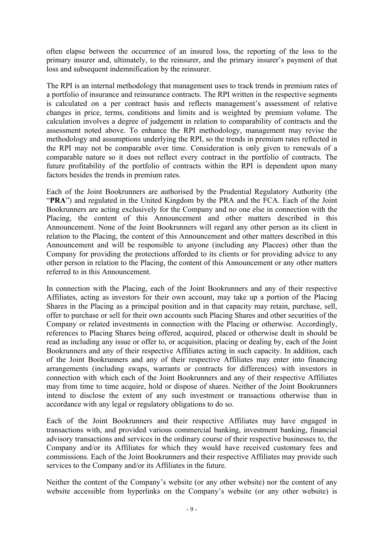often elapse between the occurrence of an insured loss, the reporting of the loss to the primary insurer and, ultimately, to the reinsurer, and the primary insurer's payment of that loss and subsequent indemnification by the reinsurer.

The RPI is an internal methodology that management uses to track trends in premium rates of a portfolio of insurance and reinsurance contracts. The RPI written in the respective segments is calculated on a per contract basis and reflects management's assessment of relative changes in price, terms, conditions and limits and is weighted by premium volume. The calculation involves a degree of judgement in relation to comparability of contracts and the assessment noted above. To enhance the RPI methodology, management may revise the methodology and assumptions underlying the RPI, so the trends in premium rates reflected in the RPI may not be comparable over time. Consideration is only given to renewals of a comparable nature so it does not reflect every contract in the portfolio of contracts. The future profitability of the portfolio of contracts within the RPI is dependent upon many factors besides the trends in premium rates.

Each of the Joint Bookrunners are authorised by the Prudential Regulatory Authority (the "**PRA**") and regulated in the United Kingdom by the PRA and the FCA. Each of the Joint Bookrunners are acting exclusively for the Company and no one else in connection with the Placing, the content of this Announcement and other matters described in this Announcement. None of the Joint Bookrunners will regard any other person as its client in relation to the Placing, the content of this Announcement and other matters described in this Announcement and will be responsible to anyone (including any Placees) other than the Company for providing the protections afforded to its clients or for providing advice to any other person in relation to the Placing, the content of this Announcement or any other matters referred to in this Announcement.

In connection with the Placing, each of the Joint Bookrunners and any of their respective Affiliates, acting as investors for their own account, may take up a portion of the Placing Shares in the Placing as a principal position and in that capacity may retain, purchase, sell, offer to purchase or sell for their own accounts such Placing Shares and other securities of the Company or related investments in connection with the Placing or otherwise. Accordingly, references to Placing Shares being offered, acquired, placed or otherwise dealt in should be read as including any issue or offer to, or acquisition, placing or dealing by, each of the Joint Bookrunners and any of their respective Affiliates acting in such capacity. In addition, each of the Joint Bookrunners and any of their respective Affiliates may enter into financing arrangements (including swaps, warrants or contracts for differences) with investors in connection with which each of the Joint Bookrunners and any of their respective Affiliates may from time to time acquire, hold or dispose of shares. Neither of the Joint Bookrunners intend to disclose the extent of any such investment or transactions otherwise than in accordance with any legal or regulatory obligations to do so.

Each of the Joint Bookrunners and their respective Affiliates may have engaged in transactions with, and provided various commercial banking, investment banking, financial advisory transactions and services in the ordinary course of their respective businesses to, the Company and/or its Affiliates for which they would have received customary fees and commissions. Each of the Joint Bookrunners and their respective Affiliates may provide such services to the Company and/or its Affiliates in the future.

Neither the content of the Company's website (or any other website) nor the content of any website accessible from hyperlinks on the Company's website (or any other website) is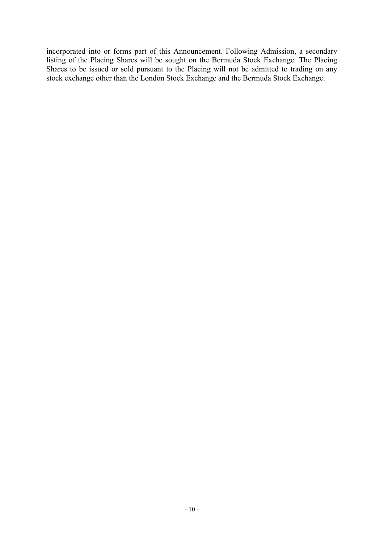incorporated into or forms part of this Announcement. Following Admission, a secondary listing of the Placing Shares will be sought on the Bermuda Stock Exchange. The Placing Shares to be issued or sold pursuant to the Placing will not be admitted to trading on any stock exchange other than the London Stock Exchange and the Bermuda Stock Exchange.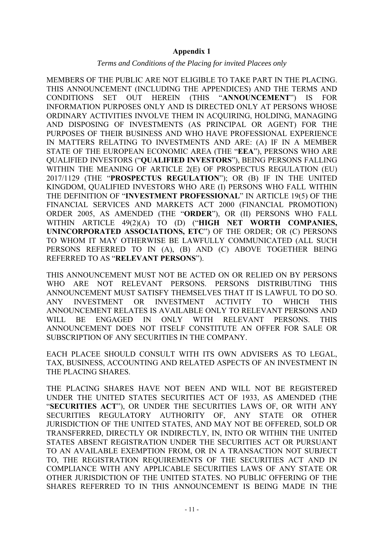#### **Appendix 1**

#### *Terms and Conditions of the Placing for invited Placees only*

MEMBERS OF THE PUBLIC ARE NOT ELIGIBLE TO TAKE PART IN THE PLACING. THIS ANNOUNCEMENT (INCLUDING THE APPENDICES) AND THE TERMS AND CONDITIONS SET OUT HEREIN (THIS "**ANNOUNCEMENT**") IS FOR INFORMATION PURPOSES ONLY AND IS DIRECTED ONLY AT PERSONS WHOSE ORDINARY ACTIVITIES INVOLVE THEM IN ACQUIRING, HOLDING, MANAGING AND DISPOSING OF INVESTMENTS (AS PRINCIPAL OR AGENT) FOR THE PURPOSES OF THEIR BUSINESS AND WHO HAVE PROFESSIONAL EXPERIENCE IN MATTERS RELATING TO INVESTMENTS AND ARE: (A) IF IN A MEMBER STATE OF THE EUROPEAN ECONOMIC AREA (THE "**EEA**"), PERSONS WHO ARE QUALIFIED INVESTORS ("**QUALIFIED INVESTORS**"), BEING PERSONS FALLING WITHIN THE MEANING OF ARTICLE 2(E) OF PROSPECTUS REGULATION (EU) 2017/1129 (THE "**PROSPECTUS REGULATION**"); OR (B) IF IN THE UNITED KINGDOM, QUALIFIED INVESTORS WHO ARE (I) PERSONS WHO FALL WITHIN THE DEFINITION OF "**INVESTMENT PROFESSIONAL**" IN ARTICLE 19(5) OF THE FINANCIAL SERVICES AND MARKETS ACT 2000 (FINANCIAL PROMOTION) ORDER 2005, AS AMENDED (THE "**ORDER**"), OR (II) PERSONS WHO FALL WITHIN ARTICLE 49(2)(A) TO (D) ("**HIGH NET WORTH COMPANIES, UNINCORPORATED ASSOCIATIONS, ETC**") OF THE ORDER; OR (C) PERSONS TO WHOM IT MAY OTHERWISE BE LAWFULLY COMMUNICATED (ALL SUCH PERSONS REFERRED TO IN (A), (B) AND (C) ABOVE TOGETHER BEING REFERRED TO AS "**RELEVANT PERSONS**").

THIS ANNOUNCEMENT MUST NOT BE ACTED ON OR RELIED ON BY PERSONS WHO ARE NOT RELEVANT PERSONS. PERSONS DISTRIBUTING THIS ANNOUNCEMENT MUST SATISFY THEMSELVES THAT IT IS LAWFUL TO DO SO. ANY INVESTMENT OR INVESTMENT ACTIVITY TO WHICH THIS ANNOUNCEMENT RELATES IS AVAILABLE ONLY TO RELEVANT PERSONS AND WILL BE ENGAGED IN ONLY WITH RELEVANT PERSONS. THIS ANNOUNCEMENT DOES NOT ITSELF CONSTITUTE AN OFFER FOR SALE OR SUBSCRIPTION OF ANY SECURITIES IN THE COMPANY.

EACH PLACEE SHOULD CONSULT WITH ITS OWN ADVISERS AS TO LEGAL, TAX, BUSINESS, ACCOUNTING AND RELATED ASPECTS OF AN INVESTMENT IN THE PLACING SHARES.

THE PLACING SHARES HAVE NOT BEEN AND WILL NOT BE REGISTERED UNDER THE UNITED STATES SECURITIES ACT OF 1933, AS AMENDED (THE "**SECURITIES ACT**"), OR UNDER THE SECURITIES LAWS OF, OR WITH ANY SECURITIES REGULATORY AUTHORITY OF, ANY STATE OR OTHER JURISDICTION OF THE UNITED STATES, AND MAY NOT BE OFFERED, SOLD OR TRANSFERRED, DIRECTLY OR INDIRECTLY, IN, INTO OR WITHIN THE UNITED STATES ABSENT REGISTRATION UNDER THE SECURITIES ACT OR PURSUANT TO AN AVAILABLE EXEMPTION FROM, OR IN A TRANSACTION NOT SUBJECT TO, THE REGISTRATION REQUIREMENTS OF THE SECURITIES ACT AND IN COMPLIANCE WITH ANY APPLICABLE SECURITIES LAWS OF ANY STATE OR OTHER JURISDICTION OF THE UNITED STATES. NO PUBLIC OFFERING OF THE SHARES REFERRED TO IN THIS ANNOUNCEMENT IS BEING MADE IN THE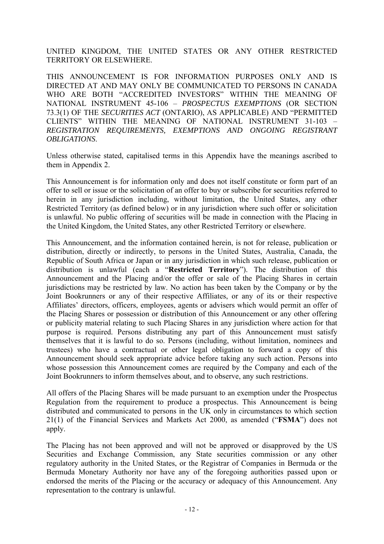UNITED KINGDOM, THE UNITED STATES OR ANY OTHER RESTRICTED TERRITORY OR ELSEWHERE.

THIS ANNOUNCEMENT IS FOR INFORMATION PURPOSES ONLY AND IS DIRECTED AT AND MAY ONLY BE COMMUNICATED TO PERSONS IN CANADA WHO ARE BOTH "ACCREDITED INVESTORS" WITHIN THE MEANING OF NATIONAL INSTRUMENT 45-106 – *PROSPECTUS EXEMPTIONS* (OR SECTION 73.3(1) OF THE *SECURITIES ACT* (ONTARIO), AS APPLICABLE) AND "PERMITTED CLIENTS" WITHIN THE MEANING OF NATIONAL INSTRUMENT 31-103 – *REGISTRATION REQUIREMENTS, EXEMPTIONS AND ONGOING REGISTRANT OBLIGATIONS*.

Unless otherwise stated, capitalised terms in this Appendix have the meanings ascribed to them in Appendix 2.

This Announcement is for information only and does not itself constitute or form part of an offer to sell or issue or the solicitation of an offer to buy or subscribe for securities referred to herein in any jurisdiction including, without limitation, the United States, any other Restricted Territory (as defined below) or in any jurisdiction where such offer or solicitation is unlawful. No public offering of securities will be made in connection with the Placing in the United Kingdom, the United States, any other Restricted Territory or elsewhere.

This Announcement, and the information contained herein, is not for release, publication or distribution, directly or indirectly, to persons in the United States, Australia, Canada, the Republic of South Africa or Japan or in any jurisdiction in which such release, publication or distribution is unlawful (each a "**Restricted Territory**"). The distribution of this Announcement and the Placing and/or the offer or sale of the Placing Shares in certain jurisdictions may be restricted by law. No action has been taken by the Company or by the Joint Bookrunners or any of their respective Affiliates, or any of its or their respective Affiliates' directors, officers, employees, agents or advisers which would permit an offer of the Placing Shares or possession or distribution of this Announcement or any other offering or publicity material relating to such Placing Shares in any jurisdiction where action for that purpose is required. Persons distributing any part of this Announcement must satisfy themselves that it is lawful to do so. Persons (including, without limitation, nominees and trustees) who have a contractual or other legal obligation to forward a copy of this Announcement should seek appropriate advice before taking any such action. Persons into whose possession this Announcement comes are required by the Company and each of the Joint Bookrunners to inform themselves about, and to observe, any such restrictions.

All offers of the Placing Shares will be made pursuant to an exemption under the Prospectus Regulation from the requirement to produce a prospectus. This Announcement is being distributed and communicated to persons in the UK only in circumstances to which section 21(1) of the Financial Services and Markets Act 2000, as amended ("**FSMA**") does not apply.

The Placing has not been approved and will not be approved or disapproved by the US Securities and Exchange Commission, any State securities commission or any other regulatory authority in the United States, or the Registrar of Companies in Bermuda or the Bermuda Monetary Authority nor have any of the foregoing authorities passed upon or endorsed the merits of the Placing or the accuracy or adequacy of this Announcement. Any representation to the contrary is unlawful.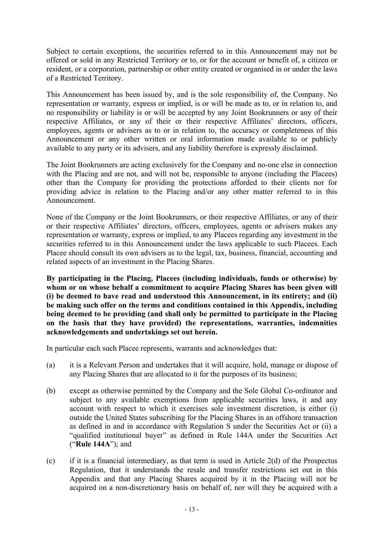Subject to certain exceptions, the securities referred to in this Announcement may not be offered or sold in any Restricted Territory or to, or for the account or benefit of, a citizen or resident, or a corporation, partnership or other entity created or organised in or under the laws of a Restricted Territory.

This Announcement has been issued by, and is the sole responsibility of, the Company. No representation or warranty, express or implied, is or will be made as to, or in relation to, and no responsibility or liability is or will be accepted by any Joint Bookrunners or any of their respective Affiliates, or any of their or their respective Affiliates' directors, officers, employees, agents or advisers as to or in relation to, the accuracy or completeness of this Announcement or any other written or oral information made available to or publicly available to any party or its advisers, and any liability therefore is expressly disclaimed.

The Joint Bookrunners are acting exclusively for the Company and no-one else in connection with the Placing and are not, and will not be, responsible to anyone (including the Placees) other than the Company for providing the protections afforded to their clients nor for providing advice in relation to the Placing and/or any other matter referred to in this Announcement.

None of the Company or the Joint Bookrunners, or their respective Affiliates, or any of their or their respective Affiliates' directors, officers, employees, agents or advisers makes any representation or warranty, express or implied, to any Placees regarding any investment in the securities referred to in this Announcement under the laws applicable to such Placees. Each Placee should consult its own advisers as to the legal, tax, business, financial, accounting and related aspects of an investment in the Placing Shares.

**By participating in the Placing, Placees (including individuals, funds or otherwise) by whom or on whose behalf a commitment to acquire Placing Shares has been given will (i) be deemed to have read and understood this Announcement, in its entirety; and (ii) be making such offer on the terms and conditions contained in this Appendix, including being deemed to be providing (and shall only be permitted to participate in the Placing on the basis that they have provided) the representations, warranties, indemnities acknowledgements and undertakings set out herein.** 

In particular each such Placee represents, warrants and acknowledges that:

- (a) it is a Relevant Person and undertakes that it will acquire, hold, manage or dispose of any Placing Shares that are allocated to it for the purposes of its business;
- (b) except as otherwise permitted by the Company and the Sole Global Co-ordinator and subject to any available exemptions from applicable securities laws, it and any account with respect to which it exercises sole investment discretion, is either (i) outside the United States subscribing for the Placing Shares in an offshore transaction as defined in and in accordance with Regulation S under the Securities Act or (ii) a "qualified institutional buyer" as defined in Rule 144A under the Securities Act ("**Rule 144A**"); and
- (c) if it is a financial intermediary, as that term is used in Article 2(d) of the Prospectus Regulation, that it understands the resale and transfer restrictions set out in this Appendix and that any Placing Shares acquired by it in the Placing will not be acquired on a non-discretionary basis on behalf of, nor will they be acquired with a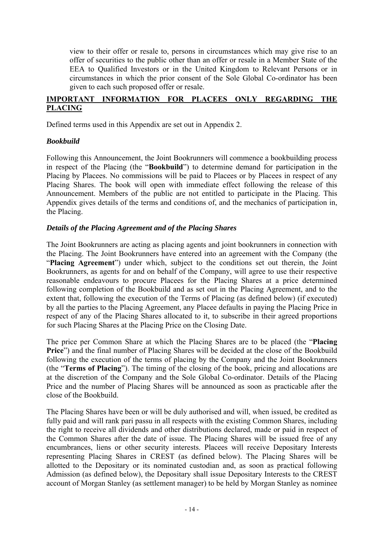view to their offer or resale to, persons in circumstances which may give rise to an offer of securities to the public other than an offer or resale in a Member State of the EEA to Qualified Investors or in the United Kingdom to Relevant Persons or in circumstances in which the prior consent of the Sole Global Co-ordinator has been given to each such proposed offer or resale.

## **IMPORTANT INFORMATION FOR PLACEES ONLY REGARDING THE PLACING**

Defined terms used in this Appendix are set out in Appendix 2.

### *Bookbuild*

Following this Announcement, the Joint Bookrunners will commence a bookbuilding process in respect of the Placing (the "**Bookbuild**") to determine demand for participation in the Placing by Placees. No commissions will be paid to Placees or by Placees in respect of any Placing Shares. The book will open with immediate effect following the release of this Announcement. Members of the public are not entitled to participate in the Placing. This Appendix gives details of the terms and conditions of, and the mechanics of participation in, the Placing.

## *Details of the Placing Agreement and of the Placing Shares*

The Joint Bookrunners are acting as placing agents and joint bookrunners in connection with the Placing. The Joint Bookrunners have entered into an agreement with the Company (the "**Placing Agreement**") under which, subject to the conditions set out therein, the Joint Bookrunners, as agents for and on behalf of the Company, will agree to use their respective reasonable endeavours to procure Placees for the Placing Shares at a price determined following completion of the Bookbuild and as set out in the Placing Agreement, and to the extent that, following the execution of the Terms of Placing (as defined below) (if executed) by all the parties to the Placing Agreement, any Placee defaults in paying the Placing Price in respect of any of the Placing Shares allocated to it, to subscribe in their agreed proportions for such Placing Shares at the Placing Price on the Closing Date.

The price per Common Share at which the Placing Shares are to be placed (the "**Placing Price**") and the final number of Placing Shares will be decided at the close of the Bookbuild following the execution of the terms of placing by the Company and the Joint Bookrunners (the "**Terms of Placing**"). The timing of the closing of the book, pricing and allocations are at the discretion of the Company and the Sole Global Co-ordinator. Details of the Placing Price and the number of Placing Shares will be announced as soon as practicable after the close of the Bookbuild.

The Placing Shares have been or will be duly authorised and will, when issued, be credited as fully paid and will rank pari passu in all respects with the existing Common Shares, including the right to receive all dividends and other distributions declared, made or paid in respect of the Common Shares after the date of issue. The Placing Shares will be issued free of any encumbrances, liens or other security interests. Placees will receive Depositary Interests representing Placing Shares in CREST (as defined below). The Placing Shares will be allotted to the Depositary or its nominated custodian and, as soon as practical following Admission (as defined below), the Depositary shall issue Depositary Interests to the CREST account of Morgan Stanley (as settlement manager) to be held by Morgan Stanley as nominee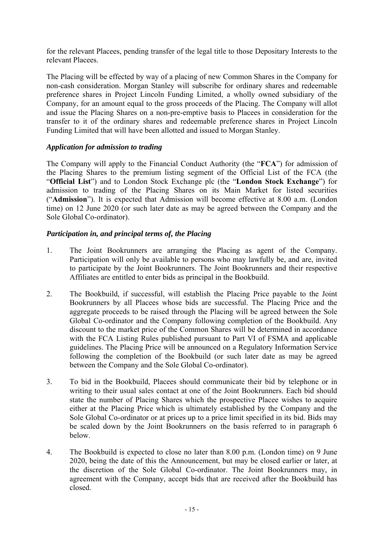for the relevant Placees, pending transfer of the legal title to those Depositary Interests to the relevant Placees.

The Placing will be effected by way of a placing of new Common Shares in the Company for non-cash consideration. Morgan Stanley will subscribe for ordinary shares and redeemable preference shares in Project Lincoln Funding Limited, a wholly owned subsidiary of the Company, for an amount equal to the gross proceeds of the Placing. The Company will allot and issue the Placing Shares on a non-pre-emptive basis to Placees in consideration for the transfer to it of the ordinary shares and redeemable preference shares in Project Lincoln Funding Limited that will have been allotted and issued to Morgan Stanley.

### *Application for admission to trading*

The Company will apply to the Financial Conduct Authority (the "**FCA**") for admission of the Placing Shares to the premium listing segment of the Official List of the FCA (the "**Official List**") and to London Stock Exchange plc (the "**London Stock Exchange**") for admission to trading of the Placing Shares on its Main Market for listed securities ("**Admission**"). It is expected that Admission will become effective at 8.00 a.m. (London time) on 12 June 2020 (or such later date as may be agreed between the Company and the Sole Global Co-ordinator).

### *Participation in, and principal terms of, the Placing*

- 1. The Joint Bookrunners are arranging the Placing as agent of the Company. Participation will only be available to persons who may lawfully be, and are, invited to participate by the Joint Bookrunners. The Joint Bookrunners and their respective Affiliates are entitled to enter bids as principal in the Bookbuild.
- 2. The Bookbuild, if successful, will establish the Placing Price payable to the Joint Bookrunners by all Placees whose bids are successful. The Placing Price and the aggregate proceeds to be raised through the Placing will be agreed between the Sole Global Co-ordinator and the Company following completion of the Bookbuild. Any discount to the market price of the Common Shares will be determined in accordance with the FCA Listing Rules published pursuant to Part VI of FSMA and applicable guidelines. The Placing Price will be announced on a Regulatory Information Service following the completion of the Bookbuild (or such later date as may be agreed between the Company and the Sole Global Co-ordinator).
- 3. To bid in the Bookbuild, Placees should communicate their bid by telephone or in writing to their usual sales contact at one of the Joint Bookrunners. Each bid should state the number of Placing Shares which the prospective Placee wishes to acquire either at the Placing Price which is ultimately established by the Company and the Sole Global Co-ordinator or at prices up to a price limit specified in its bid. Bids may be scaled down by the Joint Bookrunners on the basis referred to in paragraph 6 below.
- 4. The Bookbuild is expected to close no later than 8.00 p.m. (London time) on 9 June 2020, being the date of this the Announcement, but may be closed earlier or later, at the discretion of the Sole Global Co-ordinator. The Joint Bookrunners may, in agreement with the Company, accept bids that are received after the Bookbuild has closed.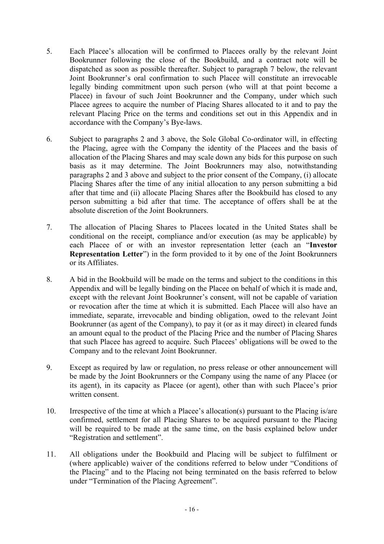- 5. Each Placee's allocation will be confirmed to Placees orally by the relevant Joint Bookrunner following the close of the Bookbuild, and a contract note will be dispatched as soon as possible thereafter. Subject to paragraph 7 below, the relevant Joint Bookrunner's oral confirmation to such Placee will constitute an irrevocable legally binding commitment upon such person (who will at that point become a Placee) in favour of such Joint Bookrunner and the Company, under which such Placee agrees to acquire the number of Placing Shares allocated to it and to pay the relevant Placing Price on the terms and conditions set out in this Appendix and in accordance with the Company's Bye-laws.
- 6. Subject to paragraphs 2 and 3 above, the Sole Global Co-ordinator will, in effecting the Placing, agree with the Company the identity of the Placees and the basis of allocation of the Placing Shares and may scale down any bids for this purpose on such basis as it may determine. The Joint Bookrunners may also, notwithstanding paragraphs 2 and 3 above and subject to the prior consent of the Company, (i) allocate Placing Shares after the time of any initial allocation to any person submitting a bid after that time and (ii) allocate Placing Shares after the Bookbuild has closed to any person submitting a bid after that time. The acceptance of offers shall be at the absolute discretion of the Joint Bookrunners.
- 7. The allocation of Placing Shares to Placees located in the United States shall be conditional on the receipt, compliance and/or execution (as may be applicable) by each Placee of or with an investor representation letter (each an "**Investor Representation Letter**") in the form provided to it by one of the Joint Bookrunners or its Affiliates.
- 8. A bid in the Bookbuild will be made on the terms and subject to the conditions in this Appendix and will be legally binding on the Placee on behalf of which it is made and, except with the relevant Joint Bookrunner's consent, will not be capable of variation or revocation after the time at which it is submitted. Each Placee will also have an immediate, separate, irrevocable and binding obligation, owed to the relevant Joint Bookrunner (as agent of the Company), to pay it (or as it may direct) in cleared funds an amount equal to the product of the Placing Price and the number of Placing Shares that such Placee has agreed to acquire. Such Placees' obligations will be owed to the Company and to the relevant Joint Bookrunner.
- 9. Except as required by law or regulation, no press release or other announcement will be made by the Joint Bookrunners or the Company using the name of any Placee (or its agent), in its capacity as Placee (or agent), other than with such Placee's prior written consent.
- 10. Irrespective of the time at which a Placee's allocation(s) pursuant to the Placing is/are confirmed, settlement for all Placing Shares to be acquired pursuant to the Placing will be required to be made at the same time, on the basis explained below under "Registration and settlement".
- 11. All obligations under the Bookbuild and Placing will be subject to fulfilment or (where applicable) waiver of the conditions referred to below under "Conditions of the Placing" and to the Placing not being terminated on the basis referred to below under "Termination of the Placing Agreement".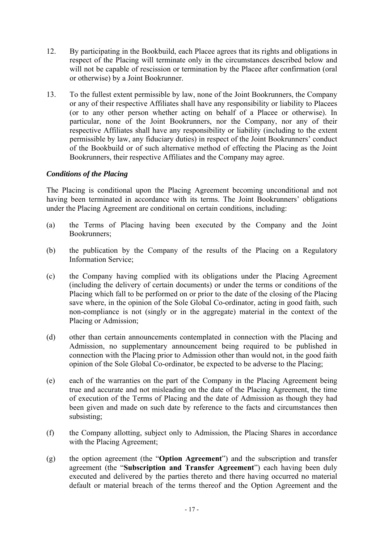- 12. By participating in the Bookbuild, each Placee agrees that its rights and obligations in respect of the Placing will terminate only in the circumstances described below and will not be capable of rescission or termination by the Placee after confirmation (oral or otherwise) by a Joint Bookrunner.
- 13. To the fullest extent permissible by law, none of the Joint Bookrunners, the Company or any of their respective Affiliates shall have any responsibility or liability to Placees (or to any other person whether acting on behalf of a Placee or otherwise). In particular, none of the Joint Bookrunners, nor the Company, nor any of their respective Affiliates shall have any responsibility or liability (including to the extent permissible by law, any fiduciary duties) in respect of the Joint Bookrunners' conduct of the Bookbuild or of such alternative method of effecting the Placing as the Joint Bookrunners, their respective Affiliates and the Company may agree.

### *Conditions of the Placing*

The Placing is conditional upon the Placing Agreement becoming unconditional and not having been terminated in accordance with its terms. The Joint Bookrunners' obligations under the Placing Agreement are conditional on certain conditions, including:

- (a) the Terms of Placing having been executed by the Company and the Joint Bookrunners;
- (b) the publication by the Company of the results of the Placing on a Regulatory Information Service;
- (c) the Company having complied with its obligations under the Placing Agreement (including the delivery of certain documents) or under the terms or conditions of the Placing which fall to be performed on or prior to the date of the closing of the Placing save where, in the opinion of the Sole Global Co-ordinator, acting in good faith, such non-compliance is not (singly or in the aggregate) material in the context of the Placing or Admission;
- (d) other than certain announcements contemplated in connection with the Placing and Admission, no supplementary announcement being required to be published in connection with the Placing prior to Admission other than would not, in the good faith opinion of the Sole Global Co-ordinator, be expected to be adverse to the Placing;
- (e) each of the warranties on the part of the Company in the Placing Agreement being true and accurate and not misleading on the date of the Placing Agreement, the time of execution of the Terms of Placing and the date of Admission as though they had been given and made on such date by reference to the facts and circumstances then subsisting;
- (f) the Company allotting, subject only to Admission, the Placing Shares in accordance with the Placing Agreement;
- (g) the option agreement (the "**Option Agreement**") and the subscription and transfer agreement (the "**Subscription and Transfer Agreement**") each having been duly executed and delivered by the parties thereto and there having occurred no material default or material breach of the terms thereof and the Option Agreement and the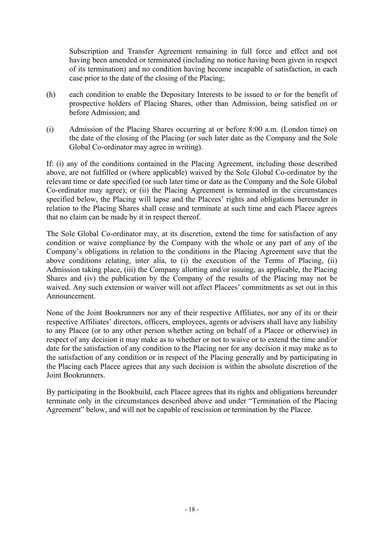Subscription and Transfer Agreement remaining in full force and effect and not having been amended or terminated (including no notice having been given in respect of its termination) and no condition having become incapable of satisfaction, in each case prior to the date of the closing of the Placing;

- (h) each condition to enable the Depositary Interests to be issued to or for the benefit of prospective holders of Placing Shares, other than Admission, being satisfied on or before Admission; and
- (i) Admission of the Placing Shares occurring at or before 8:00 a.m. (London time) on the date of the closing of the Placing (or such later date as the Company and the Sole Global Co-ordinator may agree in writing).

If: (i) any of the conditions contained in the Placing Agreement, including those described above, are not fulfilled or (where applicable) waived by the Sole Global Co-ordinator by the relevant time or date specified (or such later time or date as the Company and the Sole Global Co-ordinator may agree); or (ii) the Placing Agreement is terminated in the circumstances specified below, the Placing will lapse and the Placees' rights and obligations hereunder in relation to the Placing Shares shall cease and terminate at such time and each Placee agrees that no claim can be made by it in respect thereof.

The Sole Global Co-ordinator may, at its discretion, extend the time for satisfaction of any condition or waive compliance by the Company with the whole or any part of any of the Company's obligations in relation to the conditions in the Placing Agreement save that the above conditions relating, inter alia, to (i) the execution of the Terms of Placing, (ii) Admission taking place, (iii) the Company allotting and/or issuing, as applicable, the Placing Shares and (iv) the publication by the Company of the results of the Placing may not be waived. Any such extension or waiver will not affect Placees' commitments as set out in this Announcement.

None of the Joint Bookrunners nor any of their respective Affiliates, nor any of its or their respective Affiliates' directors, officers, employees, agents or advisers shall have any liability to any Placee (or to any other person whether acting on behalf of a Placee or otherwise) in respect of any decision it may make as to whether or not to waive or to extend the time and/or date for the satisfaction of any condition to the Placing nor for any decision it may make as to the satisfaction of any condition or in respect of the Placing generally and by participating in the Placing each Placee agrees that any such decision is within the absolute discretion of the Joint Bookrunners.

By participating in the Bookbuild, each Placee agrees that its rights and obligations hereunder terminate only in the circumstances described above and under "Termination of the Placing Agreement" below, and will not be capable of rescission or termination by the Placee.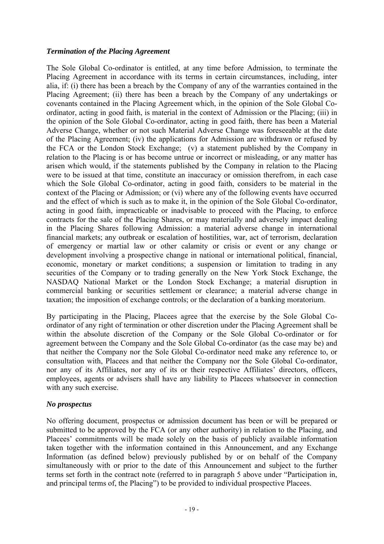### *Termination of the Placing Agreement*

The Sole Global Co-ordinator is entitled, at any time before Admission, to terminate the Placing Agreement in accordance with its terms in certain circumstances, including, inter alia, if: (i) there has been a breach by the Company of any of the warranties contained in the Placing Agreement; (ii) there has been a breach by the Company of any undertakings or covenants contained in the Placing Agreement which, in the opinion of the Sole Global Coordinator, acting in good faith, is material in the context of Admission or the Placing; (iii) in the opinion of the Sole Global Co-ordinator, acting in good faith, there has been a Material Adverse Change, whether or not such Material Adverse Change was foreseeable at the date of the Placing Agreement; (iv) the applications for Admission are withdrawn or refused by the FCA or the London Stock Exchange; (v) a statement published by the Company in relation to the Placing is or has become untrue or incorrect or misleading, or any matter has arisen which would, if the statements published by the Company in relation to the Placing were to be issued at that time, constitute an inaccuracy or omission therefrom, in each case which the Sole Global Co-ordinator, acting in good faith, considers to be material in the context of the Placing or Admission; or (vi) where any of the following events have occurred and the effect of which is such as to make it, in the opinion of the Sole Global Co-ordinator, acting in good faith, impracticable or inadvisable to proceed with the Placing, to enforce contracts for the sale of the Placing Shares, or may materially and adversely impact dealing in the Placing Shares following Admission: a material adverse change in international financial markets; any outbreak or escalation of hostilities, war, act of terrorism, declaration of emergency or martial law or other calamity or crisis or event or any change or development involving a prospective change in national or international political, financial, economic, monetary or market conditions; a suspension or limitation to trading in any securities of the Company or to trading generally on the New York Stock Exchange, the NASDAQ National Market or the London Stock Exchange; a material disruption in commercial banking or securities settlement or clearance; a material adverse change in taxation; the imposition of exchange controls; or the declaration of a banking moratorium.

By participating in the Placing, Placees agree that the exercise by the Sole Global Coordinator of any right of termination or other discretion under the Placing Agreement shall be within the absolute discretion of the Company or the Sole Global Co-ordinator or for agreement between the Company and the Sole Global Co-ordinator (as the case may be) and that neither the Company nor the Sole Global Co-ordinator need make any reference to, or consultation with, Placees and that neither the Company nor the Sole Global Co-ordinator, nor any of its Affiliates, nor any of its or their respective Affiliates' directors, officers, employees, agents or advisers shall have any liability to Placees whatsoever in connection with any such exercise.

### *No prospectus*

No offering document, prospectus or admission document has been or will be prepared or submitted to be approved by the FCA (or any other authority) in relation to the Placing, and Placees' commitments will be made solely on the basis of publicly available information taken together with the information contained in this Announcement, and any Exchange Information (as defined below) previously published by or on behalf of the Company simultaneously with or prior to the date of this Announcement and subject to the further terms set forth in the contract note (referred to in paragraph 5 above under "Participation in, and principal terms of, the Placing") to be provided to individual prospective Placees.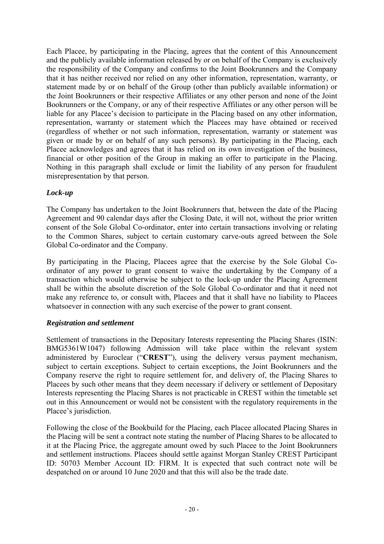Each Placee, by participating in the Placing, agrees that the content of this Announcement and the publicly available information released by or on behalf of the Company is exclusively the responsibility of the Company and confirms to the Joint Bookrunners and the Company that it has neither received nor relied on any other information, representation, warranty, or statement made by or on behalf of the Group (other than publicly available information) or the Joint Bookrunners or their respective Affiliates or any other person and none of the Joint Bookrunners or the Company, or any of their respective Affiliates or any other person will be liable for any Placee's decision to participate in the Placing based on any other information, representation, warranty or statement which the Placees may have obtained or received (regardless of whether or not such information, representation, warranty or statement was given or made by or on behalf of any such persons). By participating in the Placing, each Placee acknowledges and agrees that it has relied on its own investigation of the business, financial or other position of the Group in making an offer to participate in the Placing. Nothing in this paragraph shall exclude or limit the liability of any person for fraudulent misrepresentation by that person.

# *Lock-up*

The Company has undertaken to the Joint Bookrunners that, between the date of the Placing Agreement and 90 calendar days after the Closing Date, it will not, without the prior written consent of the Sole Global Co-ordinator, enter into certain transactions involving or relating to the Common Shares, subject to certain customary carve-outs agreed between the Sole Global Co-ordinator and the Company.

By participating in the Placing, Placees agree that the exercise by the Sole Global Coordinator of any power to grant consent to waive the undertaking by the Company of a transaction which would otherwise be subject to the lock-up under the Placing Agreement shall be within the absolute discretion of the Sole Global Co-ordinator and that it need not make any reference to, or consult with, Placees and that it shall have no liability to Placees whatsoever in connection with any such exercise of the power to grant consent.

### *Registration and settlement*

Settlement of transactions in the Depositary Interests representing the Placing Shares (ISIN: BMG5361W1047) following Admission will take place within the relevant system administered by Euroclear ("**CREST**"), using the delivery versus payment mechanism, subject to certain exceptions. Subject to certain exceptions, the Joint Bookrunners and the Company reserve the right to require settlement for, and delivery of, the Placing Shares to Placees by such other means that they deem necessary if delivery or settlement of Depositary Interests representing the Placing Shares is not practicable in CREST within the timetable set out in this Announcement or would not be consistent with the regulatory requirements in the Placee's jurisdiction.

Following the close of the Bookbuild for the Placing, each Placee allocated Placing Shares in the Placing will be sent a contract note stating the number of Placing Shares to be allocated to it at the Placing Price, the aggregate amount owed by such Placee to the Joint Bookrunners and settlement instructions. Placees should settle against Morgan Stanley CREST Participant ID: 50703 Member Account ID: FIRM. It is expected that such contract note will be despatched on or around 10 June 2020 and that this will also be the trade date.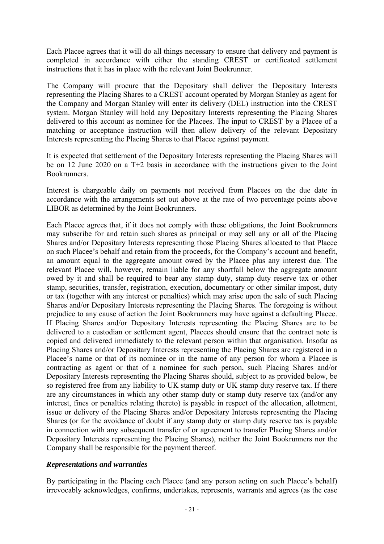Each Placee agrees that it will do all things necessary to ensure that delivery and payment is completed in accordance with either the standing CREST or certificated settlement instructions that it has in place with the relevant Joint Bookrunner.

The Company will procure that the Depositary shall deliver the Depositary Interests representing the Placing Shares to a CREST account operated by Morgan Stanley as agent for the Company and Morgan Stanley will enter its delivery (DEL) instruction into the CREST system. Morgan Stanley will hold any Depositary Interests representing the Placing Shares delivered to this account as nominee for the Placees. The input to CREST by a Placee of a matching or acceptance instruction will then allow delivery of the relevant Depositary Interests representing the Placing Shares to that Placee against payment.

It is expected that settlement of the Depositary Interests representing the Placing Shares will be on 12 June 2020 on a T+2 basis in accordance with the instructions given to the Joint Bookrunners.

Interest is chargeable daily on payments not received from Placees on the due date in accordance with the arrangements set out above at the rate of two percentage points above LIBOR as determined by the Joint Bookrunners.

Each Placee agrees that, if it does not comply with these obligations, the Joint Bookrunners may subscribe for and retain such shares as principal or may sell any or all of the Placing Shares and/or Depositary Interests representing those Placing Shares allocated to that Placee on such Placee's behalf and retain from the proceeds, for the Company's account and benefit, an amount equal to the aggregate amount owed by the Placee plus any interest due. The relevant Placee will, however, remain liable for any shortfall below the aggregate amount owed by it and shall be required to bear any stamp duty, stamp duty reserve tax or other stamp, securities, transfer, registration, execution, documentary or other similar impost, duty or tax (together with any interest or penalties) which may arise upon the sale of such Placing Shares and/or Depositary Interests representing the Placing Shares. The foregoing is without prejudice to any cause of action the Joint Bookrunners may have against a defaulting Placee. If Placing Shares and/or Depositary Interests representing the Placing Shares are to be delivered to a custodian or settlement agent, Placees should ensure that the contract note is copied and delivered immediately to the relevant person within that organisation. Insofar as Placing Shares and/or Depositary Interests representing the Placing Shares are registered in a Placee's name or that of its nominee or in the name of any person for whom a Placee is contracting as agent or that of a nominee for such person, such Placing Shares and/or Depositary Interests representing the Placing Shares should, subject to as provided below, be so registered free from any liability to UK stamp duty or UK stamp duty reserve tax. If there are any circumstances in which any other stamp duty or stamp duty reserve tax (and/or any interest, fines or penalties relating thereto) is payable in respect of the allocation, allotment, issue or delivery of the Placing Shares and/or Depositary Interests representing the Placing Shares (or for the avoidance of doubt if any stamp duty or stamp duty reserve tax is payable in connection with any subsequent transfer of or agreement to transfer Placing Shares and/or Depositary Interests representing the Placing Shares), neither the Joint Bookrunners nor the Company shall be responsible for the payment thereof.

### *Representations and warranties*

By participating in the Placing each Placee (and any person acting on such Placee's behalf) irrevocably acknowledges, confirms, undertakes, represents, warrants and agrees (as the case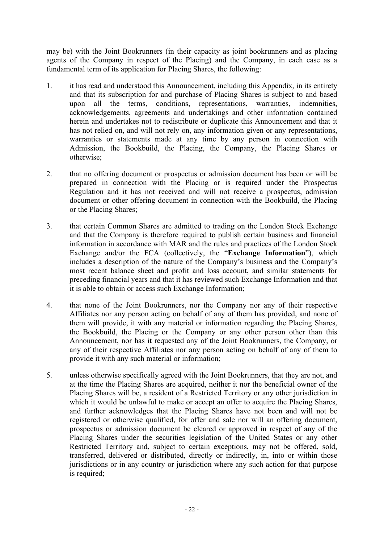may be) with the Joint Bookrunners (in their capacity as joint bookrunners and as placing agents of the Company in respect of the Placing) and the Company, in each case as a fundamental term of its application for Placing Shares, the following:

- 1. it has read and understood this Announcement, including this Appendix, in its entirety and that its subscription for and purchase of Placing Shares is subject to and based upon all the terms, conditions, representations, warranties, indemnities, acknowledgements, agreements and undertakings and other information contained herein and undertakes not to redistribute or duplicate this Announcement and that it has not relied on, and will not rely on, any information given or any representations, warranties or statements made at any time by any person in connection with Admission, the Bookbuild, the Placing, the Company, the Placing Shares or otherwise;
- 2. that no offering document or prospectus or admission document has been or will be prepared in connection with the Placing or is required under the Prospectus Regulation and it has not received and will not receive a prospectus, admission document or other offering document in connection with the Bookbuild, the Placing or the Placing Shares;
- 3. that certain Common Shares are admitted to trading on the London Stock Exchange and that the Company is therefore required to publish certain business and financial information in accordance with MAR and the rules and practices of the London Stock Exchange and/or the FCA (collectively, the "**Exchange Information**"), which includes a description of the nature of the Company's business and the Company's most recent balance sheet and profit and loss account, and similar statements for preceding financial years and that it has reviewed such Exchange Information and that it is able to obtain or access such Exchange Information;
- 4. that none of the Joint Bookrunners, nor the Company nor any of their respective Affiliates nor any person acting on behalf of any of them has provided, and none of them will provide, it with any material or information regarding the Placing Shares, the Bookbuild, the Placing or the Company or any other person other than this Announcement, nor has it requested any of the Joint Bookrunners, the Company, or any of their respective Affiliates nor any person acting on behalf of any of them to provide it with any such material or information;
- 5. unless otherwise specifically agreed with the Joint Bookrunners, that they are not, and at the time the Placing Shares are acquired, neither it nor the beneficial owner of the Placing Shares will be, a resident of a Restricted Territory or any other jurisdiction in which it would be unlawful to make or accept an offer to acquire the Placing Shares, and further acknowledges that the Placing Shares have not been and will not be registered or otherwise qualified, for offer and sale nor will an offering document, prospectus or admission document be cleared or approved in respect of any of the Placing Shares under the securities legislation of the United States or any other Restricted Territory and, subject to certain exceptions, may not be offered, sold, transferred, delivered or distributed, directly or indirectly, in, into or within those jurisdictions or in any country or jurisdiction where any such action for that purpose is required;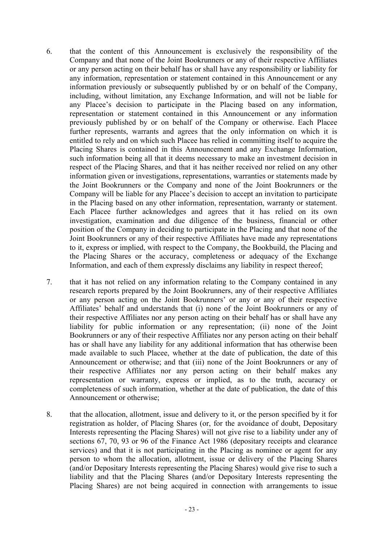- 6. that the content of this Announcement is exclusively the responsibility of the Company and that none of the Joint Bookrunners or any of their respective Affiliates or any person acting on their behalf has or shall have any responsibility or liability for any information, representation or statement contained in this Announcement or any information previously or subsequently published by or on behalf of the Company, including, without limitation, any Exchange Information, and will not be liable for any Placee's decision to participate in the Placing based on any information, representation or statement contained in this Announcement or any information previously published by or on behalf of the Company or otherwise. Each Placee further represents, warrants and agrees that the only information on which it is entitled to rely and on which such Placee has relied in committing itself to acquire the Placing Shares is contained in this Announcement and any Exchange Information, such information being all that it deems necessary to make an investment decision in respect of the Placing Shares, and that it has neither received nor relied on any other information given or investigations, representations, warranties or statements made by the Joint Bookrunners or the Company and none of the Joint Bookrunners or the Company will be liable for any Placee's decision to accept an invitation to participate in the Placing based on any other information, representation, warranty or statement. Each Placee further acknowledges and agrees that it has relied on its own investigation, examination and due diligence of the business, financial or other position of the Company in deciding to participate in the Placing and that none of the Joint Bookrunners or any of their respective Affiliates have made any representations to it, express or implied, with respect to the Company, the Bookbuild, the Placing and the Placing Shares or the accuracy, completeness or adequacy of the Exchange Information, and each of them expressly disclaims any liability in respect thereof;
- 7. that it has not relied on any information relating to the Company contained in any research reports prepared by the Joint Bookrunners, any of their respective Affiliates or any person acting on the Joint Bookrunners' or any or any of their respective Affiliates' behalf and understands that (i) none of the Joint Bookrunners or any of their respective Affiliates nor any person acting on their behalf has or shall have any liability for public information or any representation; (ii) none of the Joint Bookrunners or any of their respective Affiliates nor any person acting on their behalf has or shall have any liability for any additional information that has otherwise been made available to such Placee, whether at the date of publication, the date of this Announcement or otherwise; and that (iii) none of the Joint Bookrunners or any of their respective Affiliates nor any person acting on their behalf makes any representation or warranty, express or implied, as to the truth, accuracy or completeness of such information, whether at the date of publication, the date of this Announcement or otherwise;
- 8. that the allocation, allotment, issue and delivery to it, or the person specified by it for registration as holder, of Placing Shares (or, for the avoidance of doubt, Depositary Interests representing the Placing Shares) will not give rise to a liability under any of sections 67, 70, 93 or 96 of the Finance Act 1986 (depositary receipts and clearance services) and that it is not participating in the Placing as nominee or agent for any person to whom the allocation, allotment, issue or delivery of the Placing Shares (and/or Depositary Interests representing the Placing Shares) would give rise to such a liability and that the Placing Shares (and/or Depositary Interests representing the Placing Shares) are not being acquired in connection with arrangements to issue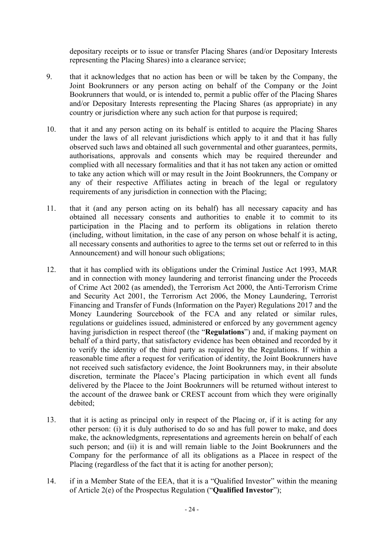depositary receipts or to issue or transfer Placing Shares (and/or Depositary Interests representing the Placing Shares) into a clearance service;

- 9. that it acknowledges that no action has been or will be taken by the Company, the Joint Bookrunners or any person acting on behalf of the Company or the Joint Bookrunners that would, or is intended to, permit a public offer of the Placing Shares and/or Depositary Interests representing the Placing Shares (as appropriate) in any country or jurisdiction where any such action for that purpose is required;
- 10. that it and any person acting on its behalf is entitled to acquire the Placing Shares under the laws of all relevant jurisdictions which apply to it and that it has fully observed such laws and obtained all such governmental and other guarantees, permits, authorisations, approvals and consents which may be required thereunder and complied with all necessary formalities and that it has not taken any action or omitted to take any action which will or may result in the Joint Bookrunners, the Company or any of their respective Affiliates acting in breach of the legal or regulatory requirements of any jurisdiction in connection with the Placing;
- 11. that it (and any person acting on its behalf) has all necessary capacity and has obtained all necessary consents and authorities to enable it to commit to its participation in the Placing and to perform its obligations in relation thereto (including, without limitation, in the case of any person on whose behalf it is acting, all necessary consents and authorities to agree to the terms set out or referred to in this Announcement) and will honour such obligations;
- 12. that it has complied with its obligations under the Criminal Justice Act 1993, MAR and in connection with money laundering and terrorist financing under the Proceeds of Crime Act 2002 (as amended), the Terrorism Act 2000, the Anti-Terrorism Crime and Security Act 2001, the Terrorism Act 2006, the Money Laundering, Terrorist Financing and Transfer of Funds (Information on the Payer) Regulations 2017 and the Money Laundering Sourcebook of the FCA and any related or similar rules, regulations or guidelines issued, administered or enforced by any government agency having jurisdiction in respect thereof (the "**Regulations**") and, if making payment on behalf of a third party, that satisfactory evidence has been obtained and recorded by it to verify the identity of the third party as required by the Regulations. If within a reasonable time after a request for verification of identity, the Joint Bookrunners have not received such satisfactory evidence, the Joint Bookrunners may, in their absolute discretion, terminate the Placee's Placing participation in which event all funds delivered by the Placee to the Joint Bookrunners will be returned without interest to the account of the drawee bank or CREST account from which they were originally debited;
- 13. that it is acting as principal only in respect of the Placing or, if it is acting for any other person: (i) it is duly authorised to do so and has full power to make, and does make, the acknowledgments, representations and agreements herein on behalf of each such person; and (ii) it is and will remain liable to the Joint Bookrunners and the Company for the performance of all its obligations as a Placee in respect of the Placing (regardless of the fact that it is acting for another person);
- 14. if in a Member State of the EEA, that it is a "Qualified Investor" within the meaning of Article 2(e) of the Prospectus Regulation ("**Qualified Investor**");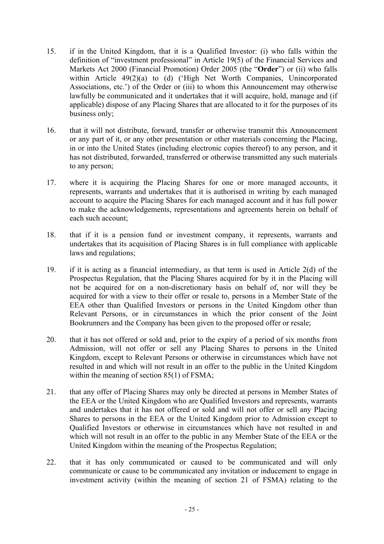- 15. if in the United Kingdom, that it is a Qualified Investor: (i) who falls within the definition of "investment professional" in Article 19(5) of the Financial Services and Markets Act 2000 (Financial Promotion) Order 2005 (the "**Order**") or (ii) who falls within Article 49(2)(a) to (d) ('High Net Worth Companies, Unincorporated Associations, etc.') of the Order or (iii) to whom this Announcement may otherwise lawfully be communicated and it undertakes that it will acquire, hold, manage and (if applicable) dispose of any Placing Shares that are allocated to it for the purposes of its business only;
- 16. that it will not distribute, forward, transfer or otherwise transmit this Announcement or any part of it, or any other presentation or other materials concerning the Placing, in or into the United States (including electronic copies thereof) to any person, and it has not distributed, forwarded, transferred or otherwise transmitted any such materials to any person;
- 17. where it is acquiring the Placing Shares for one or more managed accounts, it represents, warrants and undertakes that it is authorised in writing by each managed account to acquire the Placing Shares for each managed account and it has full power to make the acknowledgements, representations and agreements herein on behalf of each such account;
- 18. that if it is a pension fund or investment company, it represents, warrants and undertakes that its acquisition of Placing Shares is in full compliance with applicable laws and regulations;
- 19. if it is acting as a financial intermediary, as that term is used in Article 2(d) of the Prospectus Regulation, that the Placing Shares acquired for by it in the Placing will not be acquired for on a non-discretionary basis on behalf of, nor will they be acquired for with a view to their offer or resale to, persons in a Member State of the EEA other than Qualified Investors or persons in the United Kingdom other than Relevant Persons, or in circumstances in which the prior consent of the Joint Bookrunners and the Company has been given to the proposed offer or resale;
- 20. that it has not offered or sold and, prior to the expiry of a period of six months from Admission, will not offer or sell any Placing Shares to persons in the United Kingdom, except to Relevant Persons or otherwise in circumstances which have not resulted in and which will not result in an offer to the public in the United Kingdom within the meaning of section 85(1) of FSMA;
- 21. that any offer of Placing Shares may only be directed at persons in Member States of the EEA or the United Kingdom who are Qualified Investors and represents, warrants and undertakes that it has not offered or sold and will not offer or sell any Placing Shares to persons in the EEA or the United Kingdom prior to Admission except to Qualified Investors or otherwise in circumstances which have not resulted in and which will not result in an offer to the public in any Member State of the EEA or the United Kingdom within the meaning of the Prospectus Regulation;
- 22. that it has only communicated or caused to be communicated and will only communicate or cause to be communicated any invitation or inducement to engage in investment activity (within the meaning of section 21 of FSMA) relating to the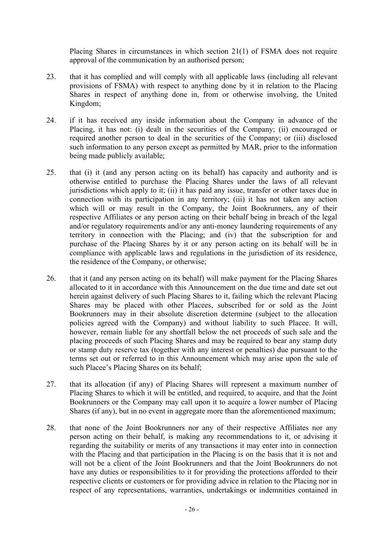Placing Shares in circumstances in which section 21(1) of FSMA does not require approval of the communication by an authorised person;

- 23. that it has complied and will comply with all applicable laws (including all relevant provisions of FSMA) with respect to anything done by it in relation to the Placing Shares in respect of anything done in, from or otherwise involving, the United Kingdom;
- 24. if it has received any inside information about the Company in advance of the Placing, it has not: (i) dealt in the securities of the Company; (ii) encouraged or required another person to deal in the securities of the Company; or (iii) disclosed such information to any person except as permitted by MAR, prior to the information being made publicly available;
- 25. that (i) it (and any person acting on its behalf) has capacity and authority and is otherwise entitled to purchase the Placing Shares under the laws of all relevant jurisdictions which apply to it; (ii) it has paid any issue, transfer or other taxes due in connection with its participation in any territory; (iii) it has not taken any action which will or may result in the Company, the Joint Bookrunners, any of their respective Affiliates or any person acting on their behalf being in breach of the legal and/or regulatory requirements and/or any anti-money laundering requirements of any territory in connection with the Placing; and (iv) that the subscription for and purchase of the Placing Shares by it or any person acting on its behalf will be in compliance with applicable laws and regulations in the jurisdiction of its residence, the residence of the Company, or otherwise;
- 26. that it (and any person acting on its behalf) will make payment for the Placing Shares allocated to it in accordance with this Announcement on the due time and date set out herein against delivery of such Placing Shares to it, failing which the relevant Placing Shares may be placed with other Placees, subscribed for or sold as the Joint Bookrunners may in their absolute discretion determine (subject to the allocation policies agreed with the Company) and without liability to such Placee. It will, however, remain liable for any shortfall below the net proceeds of such sale and the placing proceeds of such Placing Shares and may be required to bear any stamp duty or stamp duty reserve tax (together with any interest or penalties) due pursuant to the terms set out or referred to in this Announcement which may arise upon the sale of such Placee's Placing Shares on its behalf;
- 27. that its allocation (if any) of Placing Shares will represent a maximum number of Placing Shares to which it will be entitled, and required, to acquire, and that the Joint Bookrunners or the Company may call upon it to acquire a lower number of Placing Shares (if any), but in no event in aggregate more than the aforementioned maximum;
- 28. that none of the Joint Bookrunners nor any of their respective Affiliates nor any person acting on their behalf, is making any recommendations to it, or advising it regarding the suitability or merits of any transactions it may enter into in connection with the Placing and that participation in the Placing is on the basis that it is not and will not be a client of the Joint Bookrunners and that the Joint Bookrunners do not have any duties or responsibilities to it for providing the protections afforded to their respective clients or customers or for providing advice in relation to the Placing nor in respect of any representations, warranties, undertakings or indemnities contained in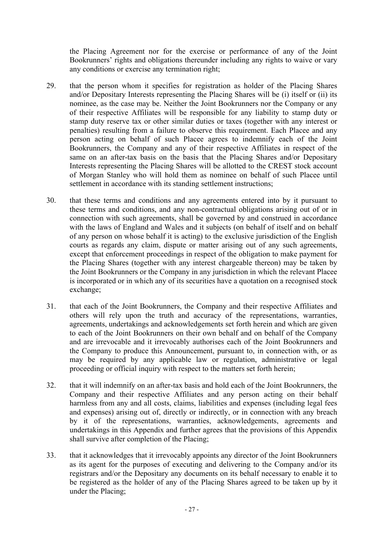the Placing Agreement nor for the exercise or performance of any of the Joint Bookrunners' rights and obligations thereunder including any rights to waive or vary any conditions or exercise any termination right;

- 29. that the person whom it specifies for registration as holder of the Placing Shares and/or Depositary Interests representing the Placing Shares will be (i) itself or (ii) its nominee, as the case may be. Neither the Joint Bookrunners nor the Company or any of their respective Affiliates will be responsible for any liability to stamp duty or stamp duty reserve tax or other similar duties or taxes (together with any interest or penalties) resulting from a failure to observe this requirement. Each Placee and any person acting on behalf of such Placee agrees to indemnify each of the Joint Bookrunners, the Company and any of their respective Affiliates in respect of the same on an after-tax basis on the basis that the Placing Shares and/or Depositary Interests representing the Placing Shares will be allotted to the CREST stock account of Morgan Stanley who will hold them as nominee on behalf of such Placee until settlement in accordance with its standing settlement instructions;
- 30. that these terms and conditions and any agreements entered into by it pursuant to these terms and conditions, and any non-contractual obligations arising out of or in connection with such agreements, shall be governed by and construed in accordance with the laws of England and Wales and it subjects (on behalf of itself and on behalf of any person on whose behalf it is acting) to the exclusive jurisdiction of the English courts as regards any claim, dispute or matter arising out of any such agreements, except that enforcement proceedings in respect of the obligation to make payment for the Placing Shares (together with any interest chargeable thereon) may be taken by the Joint Bookrunners or the Company in any jurisdiction in which the relevant Placee is incorporated or in which any of its securities have a quotation on a recognised stock exchange;
- 31. that each of the Joint Bookrunners, the Company and their respective Affiliates and others will rely upon the truth and accuracy of the representations, warranties, agreements, undertakings and acknowledgements set forth herein and which are given to each of the Joint Bookrunners on their own behalf and on behalf of the Company and are irrevocable and it irrevocably authorises each of the Joint Bookrunners and the Company to produce this Announcement, pursuant to, in connection with, or as may be required by any applicable law or regulation, administrative or legal proceeding or official inquiry with respect to the matters set forth herein;
- 32. that it will indemnify on an after-tax basis and hold each of the Joint Bookrunners, the Company and their respective Affiliates and any person acting on their behalf harmless from any and all costs, claims, liabilities and expenses (including legal fees and expenses) arising out of, directly or indirectly, or in connection with any breach by it of the representations, warranties, acknowledgements, agreements and undertakings in this Appendix and further agrees that the provisions of this Appendix shall survive after completion of the Placing;
- 33. that it acknowledges that it irrevocably appoints any director of the Joint Bookrunners as its agent for the purposes of executing and delivering to the Company and/or its registrars and/or the Depositary any documents on its behalf necessary to enable it to be registered as the holder of any of the Placing Shares agreed to be taken up by it under the Placing;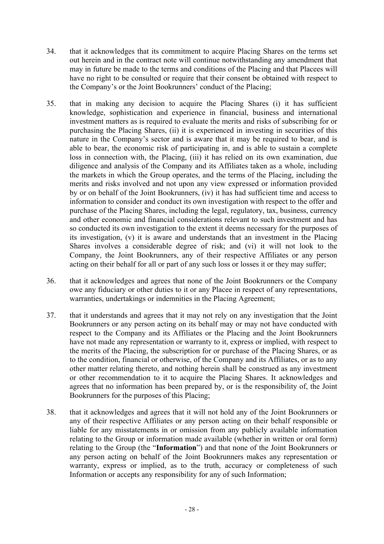- 34. that it acknowledges that its commitment to acquire Placing Shares on the terms set out herein and in the contract note will continue notwithstanding any amendment that may in future be made to the terms and conditions of the Placing and that Placees will have no right to be consulted or require that their consent be obtained with respect to the Company's or the Joint Bookrunners' conduct of the Placing;
- 35. that in making any decision to acquire the Placing Shares (i) it has sufficient knowledge, sophistication and experience in financial, business and international investment matters as is required to evaluate the merits and risks of subscribing for or purchasing the Placing Shares, (ii) it is experienced in investing in securities of this nature in the Company's sector and is aware that it may be required to bear, and is able to bear, the economic risk of participating in, and is able to sustain a complete loss in connection with, the Placing, (iii) it has relied on its own examination, due diligence and analysis of the Company and its Affiliates taken as a whole, including the markets in which the Group operates, and the terms of the Placing, including the merits and risks involved and not upon any view expressed or information provided by or on behalf of the Joint Bookrunners, (iv) it has had sufficient time and access to information to consider and conduct its own investigation with respect to the offer and purchase of the Placing Shares, including the legal, regulatory, tax, business, currency and other economic and financial considerations relevant to such investment and has so conducted its own investigation to the extent it deems necessary for the purposes of its investigation, (v) it is aware and understands that an investment in the Placing Shares involves a considerable degree of risk; and (vi) it will not look to the Company, the Joint Bookrunners, any of their respective Affiliates or any person acting on their behalf for all or part of any such loss or losses it or they may suffer;
- 36. that it acknowledges and agrees that none of the Joint Bookrunners or the Company owe any fiduciary or other duties to it or any Placee in respect of any representations, warranties, undertakings or indemnities in the Placing Agreement;
- 37. that it understands and agrees that it may not rely on any investigation that the Joint Bookrunners or any person acting on its behalf may or may not have conducted with respect to the Company and its Affiliates or the Placing and the Joint Bookrunners have not made any representation or warranty to it, express or implied, with respect to the merits of the Placing, the subscription for or purchase of the Placing Shares, or as to the condition, financial or otherwise, of the Company and its Affiliates, or as to any other matter relating thereto, and nothing herein shall be construed as any investment or other recommendation to it to acquire the Placing Shares. It acknowledges and agrees that no information has been prepared by, or is the responsibility of, the Joint Bookrunners for the purposes of this Placing;
- 38. that it acknowledges and agrees that it will not hold any of the Joint Bookrunners or any of their respective Affiliates or any person acting on their behalf responsible or liable for any misstatements in or omission from any publicly available information relating to the Group or information made available (whether in written or oral form) relating to the Group (the "**Information**") and that none of the Joint Bookrunners or any person acting on behalf of the Joint Bookrunners makes any representation or warranty, express or implied, as to the truth, accuracy or completeness of such Information or accepts any responsibility for any of such Information;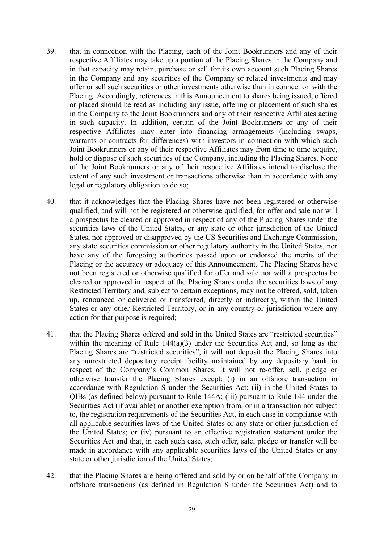- 39. that in connection with the Placing, each of the Joint Bookrunners and any of their respective Affiliates may take up a portion of the Placing Shares in the Company and in that capacity may retain, purchase or sell for its own account such Placing Shares in the Company and any securities of the Company or related investments and may offer or sell such securities or other investments otherwise than in connection with the Placing. Accordingly, references in this Announcement to shares being issued, offered or placed should be read as including any issue, offering or placement of such shares in the Company to the Joint Bookrunners and any of their respective Affiliates acting in such capacity. In addition, certain of the Joint Bookrunners or any of their respective Affiliates may enter into financing arrangements (including swaps, warrants or contracts for differences) with investors in connection with which such Joint Bookrunners or any of their respective Affiliates may from time to time acquire, hold or dispose of such securities of the Company, including the Placing Shares. None of the Joint Bookrunners or any of their respective Affiliates intend to disclose the extent of any such investment or transactions otherwise than in accordance with any legal or regulatory obligation to do so;
- 40. that it acknowledges that the Placing Shares have not been registered or otherwise qualified, and will not be registered or otherwise qualified, for offer and sale nor will a prospectus be cleared or approved in respect of any of the Placing Shares under the securities laws of the United States, or any state or other jurisdiction of the United States, nor approved or disapproved by the US Securities and Exchange Commission, any state securities commission or other regulatory authority in the United States, nor have any of the foregoing authorities passed upon or endorsed the merits of the Placing or the accuracy or adequacy of this Announcement. The Placing Shares have not been registered or otherwise qualified for offer and sale nor will a prospectus be cleared or approved in respect of the Placing Shares under the securities laws of any Restricted Territory and, subject to certain exceptions, may not be offered, sold, taken up, renounced or delivered or transferred, directly or indirectly, within the United States or any other Restricted Territory, or in any country or jurisdiction where any action for that purpose is required;
- 41. that the Placing Shares offered and sold in the United States are "restricted securities" within the meaning of Rule 144(a)(3) under the Securities Act and, so long as the Placing Shares are "restricted securities", it will not deposit the Placing Shares into any unrestricted depositary receipt facility maintained by any depositary bank in respect of the Company's Common Shares. It will not re-offer, sell, pledge or otherwise transfer the Placing Shares except: (i) in an offshore transaction in accordance with Regulation S under the Securities Act; (ii) in the United States to QIBs (as defined below) pursuant to Rule 144A; (iii) pursuant to Rule 144 under the Securities Act (if available) or another exemption from, or in a transaction not subject to, the registration requirements of the Securities Act, in each case in compliance with all applicable securities laws of the United States or any state or other jurisdiction of the United States; or (iv) pursuant to an effective registration statement under the Securities Act and that, in each such case, such offer, sale, pledge or transfer will be made in accordance with any applicable securities laws of the United States or any state or other jurisdiction of the United States;
- 42. that the Placing Shares are being offered and sold by or on behalf of the Company in offshore transactions (as defined in Regulation S under the Securities Act) and to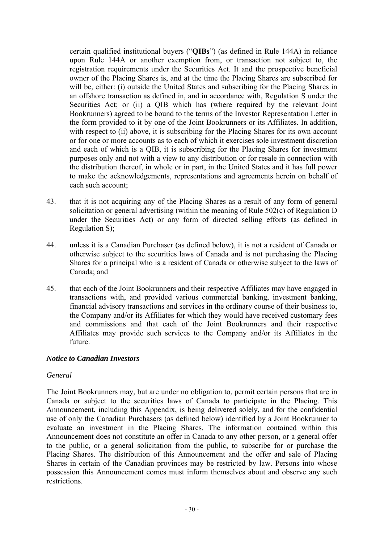certain qualified institutional buyers ("**QIBs**") (as defined in Rule 144A) in reliance upon Rule 144A or another exemption from, or transaction not subject to, the registration requirements under the Securities Act. It and the prospective beneficial owner of the Placing Shares is, and at the time the Placing Shares are subscribed for will be, either: (i) outside the United States and subscribing for the Placing Shares in an offshore transaction as defined in, and in accordance with, Regulation S under the Securities Act; or (ii) a QIB which has (where required by the relevant Joint Bookrunners) agreed to be bound to the terms of the Investor Representation Letter in the form provided to it by one of the Joint Bookrunners or its Affiliates. In addition, with respect to (ii) above, it is subscribing for the Placing Shares for its own account or for one or more accounts as to each of which it exercises sole investment discretion and each of which is a QIB, it is subscribing for the Placing Shares for investment purposes only and not with a view to any distribution or for resale in connection with the distribution thereof, in whole or in part, in the United States and it has full power to make the acknowledgements, representations and agreements herein on behalf of each such account;

- 43. that it is not acquiring any of the Placing Shares as a result of any form of general solicitation or general advertising (within the meaning of Rule 502(c) of Regulation D under the Securities Act) or any form of directed selling efforts (as defined in Regulation S);
- 44. unless it is a Canadian Purchaser (as defined below), it is not a resident of Canada or otherwise subject to the securities laws of Canada and is not purchasing the Placing Shares for a principal who is a resident of Canada or otherwise subject to the laws of Canada; and
- 45. that each of the Joint Bookrunners and their respective Affiliates may have engaged in transactions with, and provided various commercial banking, investment banking, financial advisory transactions and services in the ordinary course of their business to, the Company and/or its Affiliates for which they would have received customary fees and commissions and that each of the Joint Bookrunners and their respective Affiliates may provide such services to the Company and/or its Affiliates in the future.

#### *Notice to Canadian Investors*

### *General*

The Joint Bookrunners may, but are under no obligation to, permit certain persons that are in Canada or subject to the securities laws of Canada to participate in the Placing. This Announcement, including this Appendix, is being delivered solely, and for the confidential use of only the Canadian Purchasers (as defined below) identified by a Joint Bookrunner to evaluate an investment in the Placing Shares. The information contained within this Announcement does not constitute an offer in Canada to any other person, or a general offer to the public, or a general solicitation from the public, to subscribe for or purchase the Placing Shares. The distribution of this Announcement and the offer and sale of Placing Shares in certain of the Canadian provinces may be restricted by law. Persons into whose possession this Announcement comes must inform themselves about and observe any such restrictions.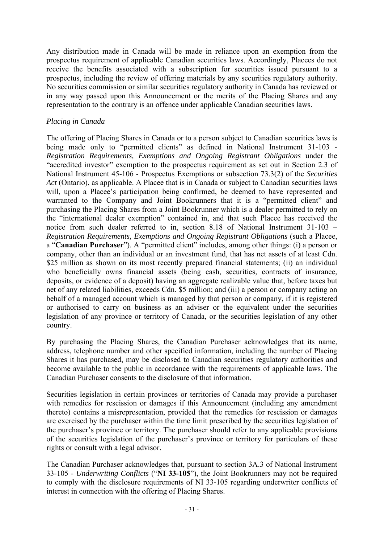Any distribution made in Canada will be made in reliance upon an exemption from the prospectus requirement of applicable Canadian securities laws. Accordingly, Placees do not receive the benefits associated with a subscription for securities issued pursuant to a prospectus, including the review of offering materials by any securities regulatory authority. No securities commission or similar securities regulatory authority in Canada has reviewed or in any way passed upon this Announcement or the merits of the Placing Shares and any representation to the contrary is an offence under applicable Canadian securities laws.

## *Placing in Canada*

The offering of Placing Shares in Canada or to a person subject to Canadian securities laws is being made only to "permitted clients" as defined in National Instrument 31-103 - *Registration Requirements, Exemptions and Ongoing Registrant Obligations* under the "accredited investor" exemption to the prospectus requirement as set out in Section 2.3 of National Instrument 45-106 - Prospectus Exemptions or subsection 73.3(2) of the *Securities Act* (Ontario), as applicable. A Placee that is in Canada or subject to Canadian securities laws will, upon a Placee's participation being confirmed, be deemed to have represented and warranted to the Company and Joint Bookrunners that it is a "permitted client" and purchasing the Placing Shares from a Joint Bookrunner which is a dealer permitted to rely on the "international dealer exemption" contained in, and that such Placee has received the notice from such dealer referred to in, section 8.18 of National Instrument 31-103 – *Registration Requirements, Exemptions and Ongoing Registrant Obligations* (such a Placee, a "**Canadian Purchaser**"). A "permitted client" includes, among other things: (i) a person or company, other than an individual or an investment fund, that has net assets of at least Cdn. \$25 million as shown on its most recently prepared financial statements; (ii) an individual who beneficially owns financial assets (being cash, securities, contracts of insurance, deposits, or evidence of a deposit) having an aggregate realizable value that, before taxes but net of any related liabilities, exceeds Cdn. \$5 million; and (iii) a person or company acting on behalf of a managed account which is managed by that person or company, if it is registered or authorised to carry on business as an adviser or the equivalent under the securities legislation of any province or territory of Canada, or the securities legislation of any other country.

By purchasing the Placing Shares, the Canadian Purchaser acknowledges that its name, address, telephone number and other specified information, including the number of Placing Shares it has purchased, may be disclosed to Canadian securities regulatory authorities and become available to the public in accordance with the requirements of applicable laws. The Canadian Purchaser consents to the disclosure of that information.

Securities legislation in certain provinces or territories of Canada may provide a purchaser with remedies for rescission or damages if this Announcement (including any amendment thereto) contains a misrepresentation, provided that the remedies for rescission or damages are exercised by the purchaser within the time limit prescribed by the securities legislation of the purchaser's province or territory. The purchaser should refer to any applicable provisions of the securities legislation of the purchaser's province or territory for particulars of these rights or consult with a legal advisor.

The Canadian Purchaser acknowledges that, pursuant to section 3A.3 of National Instrument 33-105 - *Underwriting Conflicts* ("**NI 33-105**"), the Joint Bookrunners may not be required to comply with the disclosure requirements of NI 33-105 regarding underwriter conflicts of interest in connection with the offering of Placing Shares.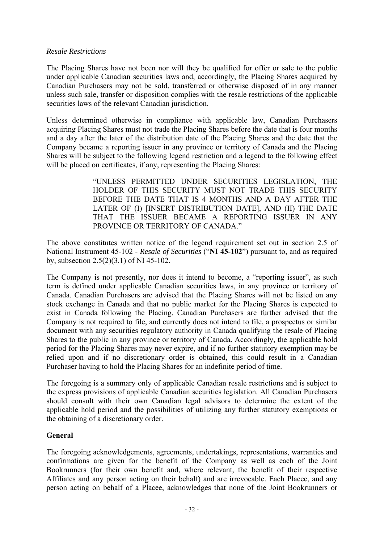#### *Resale Restrictions*

The Placing Shares have not been nor will they be qualified for offer or sale to the public under applicable Canadian securities laws and, accordingly, the Placing Shares acquired by Canadian Purchasers may not be sold, transferred or otherwise disposed of in any manner unless such sale, transfer or disposition complies with the resale restrictions of the applicable securities laws of the relevant Canadian jurisdiction.

Unless determined otherwise in compliance with applicable law, Canadian Purchasers acquiring Placing Shares must not trade the Placing Shares before the date that is four months and a day after the later of the distribution date of the Placing Shares and the date that the Company became a reporting issuer in any province or territory of Canada and the Placing Shares will be subject to the following legend restriction and a legend to the following effect will be placed on certificates, if any, representing the Placing Shares:

> "UNLESS PERMITTED UNDER SECURITIES LEGISLATION, THE HOLDER OF THIS SECURITY MUST NOT TRADE THIS SECURITY BEFORE THE DATE THAT IS 4 MONTHS AND A DAY AFTER THE LATER OF (I) [INSERT DISTRIBUTION DATE], AND (II) THE DATE THAT THE ISSUER BECAME A REPORTING ISSUER IN ANY PROVINCE OR TERRITORY OF CANADA."

The above constitutes written notice of the legend requirement set out in section 2.5 of National Instrument 45-102 - *Resale of Securities* ("**NI 45-102**") pursuant to, and as required by, subsection 2.5(2)(3.1) of NI 45-102.

The Company is not presently, nor does it intend to become, a "reporting issuer", as such term is defined under applicable Canadian securities laws, in any province or territory of Canada. Canadian Purchasers are advised that the Placing Shares will not be listed on any stock exchange in Canada and that no public market for the Placing Shares is expected to exist in Canada following the Placing. Canadian Purchasers are further advised that the Company is not required to file, and currently does not intend to file, a prospectus or similar document with any securities regulatory authority in Canada qualifying the resale of Placing Shares to the public in any province or territory of Canada. Accordingly, the applicable hold period for the Placing Shares may never expire, and if no further statutory exemption may be relied upon and if no discretionary order is obtained, this could result in a Canadian Purchaser having to hold the Placing Shares for an indefinite period of time.

The foregoing is a summary only of applicable Canadian resale restrictions and is subject to the express provisions of applicable Canadian securities legislation. All Canadian Purchasers should consult with their own Canadian legal advisors to determine the extent of the applicable hold period and the possibilities of utilizing any further statutory exemptions or the obtaining of a discretionary order.

### **General**

The foregoing acknowledgements, agreements, undertakings, representations, warranties and confirmations are given for the benefit of the Company as well as each of the Joint Bookrunners (for their own benefit and, where relevant, the benefit of their respective Affiliates and any person acting on their behalf) and are irrevocable. Each Placee, and any person acting on behalf of a Placee, acknowledges that none of the Joint Bookrunners or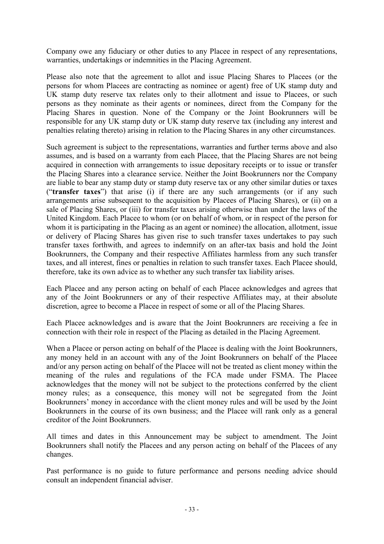Company owe any fiduciary or other duties to any Placee in respect of any representations, warranties, undertakings or indemnities in the Placing Agreement.

Please also note that the agreement to allot and issue Placing Shares to Placees (or the persons for whom Placees are contracting as nominee or agent) free of UK stamp duty and UK stamp duty reserve tax relates only to their allotment and issue to Placees, or such persons as they nominate as their agents or nominees, direct from the Company for the Placing Shares in question. None of the Company or the Joint Bookrunners will be responsible for any UK stamp duty or UK stamp duty reserve tax (including any interest and penalties relating thereto) arising in relation to the Placing Shares in any other circumstances.

Such agreement is subject to the representations, warranties and further terms above and also assumes, and is based on a warranty from each Placee, that the Placing Shares are not being acquired in connection with arrangements to issue depositary receipts or to issue or transfer the Placing Shares into a clearance service. Neither the Joint Bookrunners nor the Company are liable to bear any stamp duty or stamp duty reserve tax or any other similar duties or taxes ("**transfer taxes**") that arise (i) if there are any such arrangements (or if any such arrangements arise subsequent to the acquisition by Placees of Placing Shares), or (ii) on a sale of Placing Shares, or (iii) for transfer taxes arising otherwise than under the laws of the United Kingdom. Each Placee to whom (or on behalf of whom, or in respect of the person for whom it is participating in the Placing as an agent or nominee) the allocation, allotment, issue or delivery of Placing Shares has given rise to such transfer taxes undertakes to pay such transfer taxes forthwith, and agrees to indemnify on an after-tax basis and hold the Joint Bookrunners, the Company and their respective Affiliates harmless from any such transfer taxes, and all interest, fines or penalties in relation to such transfer taxes. Each Placee should, therefore, take its own advice as to whether any such transfer tax liability arises.

Each Placee and any person acting on behalf of each Placee acknowledges and agrees that any of the Joint Bookrunners or any of their respective Affiliates may, at their absolute discretion, agree to become a Placee in respect of some or all of the Placing Shares.

Each Placee acknowledges and is aware that the Joint Bookrunners are receiving a fee in connection with their role in respect of the Placing as detailed in the Placing Agreement.

When a Placee or person acting on behalf of the Placee is dealing with the Joint Bookrunners, any money held in an account with any of the Joint Bookrunners on behalf of the Placee and/or any person acting on behalf of the Placee will not be treated as client money within the meaning of the rules and regulations of the FCA made under FSMA. The Placee acknowledges that the money will not be subject to the protections conferred by the client money rules; as a consequence, this money will not be segregated from the Joint Bookrunners' money in accordance with the client money rules and will be used by the Joint Bookrunners in the course of its own business; and the Placee will rank only as a general creditor of the Joint Bookrunners.

All times and dates in this Announcement may be subject to amendment. The Joint Bookrunners shall notify the Placees and any person acting on behalf of the Placees of any changes.

Past performance is no guide to future performance and persons needing advice should consult an independent financial adviser.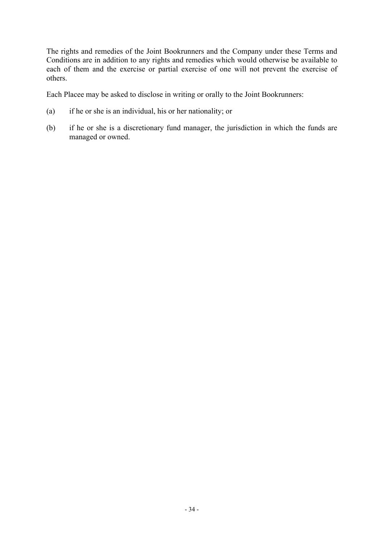The rights and remedies of the Joint Bookrunners and the Company under these Terms and Conditions are in addition to any rights and remedies which would otherwise be available to each of them and the exercise or partial exercise of one will not prevent the exercise of others.

Each Placee may be asked to disclose in writing or orally to the Joint Bookrunners:

- (a) if he or she is an individual, his or her nationality; or
- (b) if he or she is a discretionary fund manager, the jurisdiction in which the funds are managed or owned.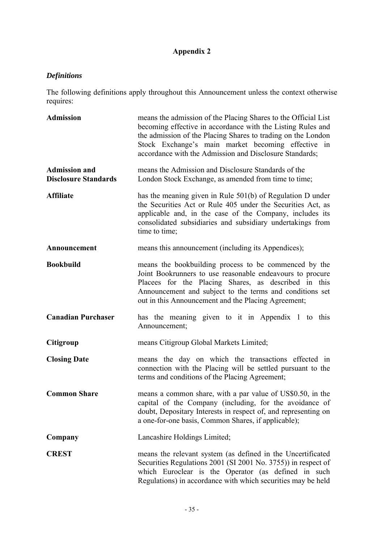# **Appendix 2**

# *Definitions*

The following definitions apply throughout this Announcement unless the context otherwise requires:

| <b>Admission</b>                                    | means the admission of the Placing Shares to the Official List<br>becoming effective in accordance with the Listing Rules and<br>the admission of the Placing Shares to trading on the London<br>Stock Exchange's main market becoming effective in<br>accordance with the Admission and Disclosure Standards; |
|-----------------------------------------------------|----------------------------------------------------------------------------------------------------------------------------------------------------------------------------------------------------------------------------------------------------------------------------------------------------------------|
| <b>Admission and</b><br><b>Disclosure Standards</b> | means the Admission and Disclosure Standards of the<br>London Stock Exchange, as amended from time to time;                                                                                                                                                                                                    |
| <b>Affiliate</b>                                    | has the meaning given in Rule 501(b) of Regulation D under<br>the Securities Act or Rule 405 under the Securities Act, as<br>applicable and, in the case of the Company, includes its<br>consolidated subsidiaries and subsidiary undertakings from<br>time to time;                                           |
| Announcement                                        | means this announcement (including its Appendices);                                                                                                                                                                                                                                                            |
| <b>Bookbuild</b>                                    | means the bookbuilding process to be commenced by the<br>Joint Bookrunners to use reasonable endeavours to procure<br>Placees for the Placing Shares, as described in this<br>Announcement and subject to the terms and conditions set<br>out in this Announcement and the Placing Agreement;                  |
| <b>Canadian Purchaser</b>                           | has the meaning given to it in Appendix 1 to this<br>Announcement;                                                                                                                                                                                                                                             |
| Citigroup                                           | means Citigroup Global Markets Limited;                                                                                                                                                                                                                                                                        |
| <b>Closing Date</b>                                 | means the day on which the transactions effected in<br>connection with the Placing will be settled pursuant to the<br>terms and conditions of the Placing Agreement;                                                                                                                                           |
| <b>Common Share</b>                                 | means a common share, with a par value of US\$0.50, in the<br>capital of the Company (including, for the avoidance of<br>doubt, Depositary Interests in respect of, and representing on<br>a one-for-one basis, Common Shares, if applicable);                                                                 |
| Company                                             | Lancashire Holdings Limited;                                                                                                                                                                                                                                                                                   |
| <b>CREST</b>                                        | means the relevant system (as defined in the Uncertificated<br>Securities Regulations 2001 (SI 2001 No. 3755)) in respect of<br>which Euroclear is the Operator (as defined in such<br>Regulations) in accordance with which securities may be held                                                            |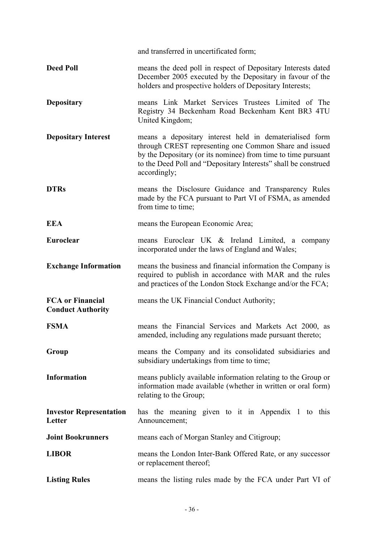|                                                     | and transferred in uncertificated form;                                                                                                                                                                                                                              |
|-----------------------------------------------------|----------------------------------------------------------------------------------------------------------------------------------------------------------------------------------------------------------------------------------------------------------------------|
| <b>Deed Poll</b>                                    | means the deed poll in respect of Depositary Interests dated<br>December 2005 executed by the Depositary in favour of the<br>holders and prospective holders of Depositary Interests;                                                                                |
| <b>Depositary</b>                                   | means Link Market Services Trustees Limited of The<br>Registry 34 Beckenham Road Beckenham Kent BR3 4TU<br>United Kingdom;                                                                                                                                           |
| <b>Depositary Interest</b>                          | means a depositary interest held in dematerialised form<br>through CREST representing one Common Share and issued<br>by the Depositary (or its nominee) from time to time pursuant<br>to the Deed Poll and "Depositary Interests" shall be construed<br>accordingly; |
| <b>DTRs</b>                                         | means the Disclosure Guidance and Transparency Rules<br>made by the FCA pursuant to Part VI of FSMA, as amended<br>from time to time;                                                                                                                                |
| <b>EEA</b>                                          | means the European Economic Area;                                                                                                                                                                                                                                    |
| Euroclear                                           | means Euroclear UK & Ireland Limited, a company<br>incorporated under the laws of England and Wales;                                                                                                                                                                 |
| <b>Exchange Information</b>                         | means the business and financial information the Company is<br>required to publish in accordance with MAR and the rules<br>and practices of the London Stock Exchange and/or the FCA;                                                                                |
| <b>FCA</b> or Financial<br><b>Conduct Authority</b> | means the UK Financial Conduct Authority;                                                                                                                                                                                                                            |
| <b>FSMA</b>                                         | means the Financial Services and Markets Act 2000, as<br>amended, including any regulations made pursuant thereto;                                                                                                                                                   |
| Group                                               | means the Company and its consolidated subsidiaries and<br>subsidiary undertakings from time to time;                                                                                                                                                                |
| <b>Information</b>                                  | means publicly available information relating to the Group or<br>information made available (whether in written or oral form)<br>relating to the Group;                                                                                                              |
| <b>Investor Representation</b><br>Letter            | has the meaning given to it in Appendix 1 to this<br>Announcement;                                                                                                                                                                                                   |
| <b>Joint Bookrunners</b>                            | means each of Morgan Stanley and Citigroup;                                                                                                                                                                                                                          |
| <b>LIBOR</b>                                        | means the London Inter-Bank Offered Rate, or any successor<br>or replacement thereof;                                                                                                                                                                                |
| <b>Listing Rules</b>                                | means the listing rules made by the FCA under Part VI of                                                                                                                                                                                                             |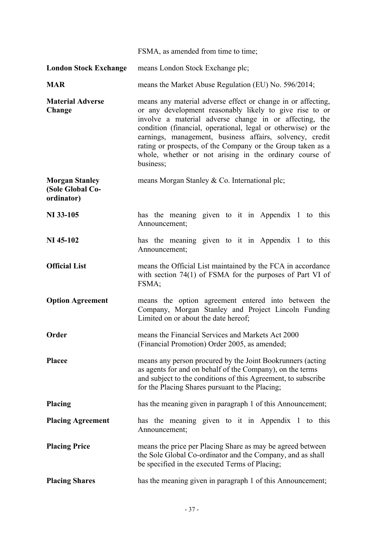|                                                         | FSMA, as amended from time to time;                                                                                                                                                                                                                                                                                                                                                                                                                   |
|---------------------------------------------------------|-------------------------------------------------------------------------------------------------------------------------------------------------------------------------------------------------------------------------------------------------------------------------------------------------------------------------------------------------------------------------------------------------------------------------------------------------------|
| <b>London Stock Exchange</b>                            | means London Stock Exchange plc;                                                                                                                                                                                                                                                                                                                                                                                                                      |
| <b>MAR</b>                                              | means the Market Abuse Regulation (EU) No. 596/2014;                                                                                                                                                                                                                                                                                                                                                                                                  |
| <b>Material Adverse</b><br>Change                       | means any material adverse effect or change in or affecting,<br>or any development reasonably likely to give rise to or<br>involve a material adverse change in or affecting, the<br>condition (financial, operational, legal or otherwise) or the<br>earnings, management, business affairs, solvency, credit<br>rating or prospects, of the Company or the Group taken as a<br>whole, whether or not arising in the ordinary course of<br>business; |
| <b>Morgan Stanley</b><br>(Sole Global Co-<br>ordinator) | means Morgan Stanley & Co. International plc;                                                                                                                                                                                                                                                                                                                                                                                                         |
| NI 33-105                                               | has the meaning given to it in Appendix 1 to this<br>Announcement;                                                                                                                                                                                                                                                                                                                                                                                    |
| NI 45-102                                               | has the meaning given to it in Appendix 1 to this<br>Announcement;                                                                                                                                                                                                                                                                                                                                                                                    |
| <b>Official List</b>                                    | means the Official List maintained by the FCA in accordance<br>with section $74(1)$ of FSMA for the purposes of Part VI of<br>FSMA;                                                                                                                                                                                                                                                                                                                   |
| <b>Option Agreement</b>                                 | means the option agreement entered into between the<br>Company, Morgan Stanley and Project Lincoln Funding<br>Limited on or about the date hereof;                                                                                                                                                                                                                                                                                                    |
| Order                                                   | means the Financial Services and Markets Act 2000<br>(Financial Promotion) Order 2005, as amended;                                                                                                                                                                                                                                                                                                                                                    |
| <b>Placee</b>                                           | means any person procured by the Joint Bookrunners (acting<br>as agents for and on behalf of the Company), on the terms<br>and subject to the conditions of this Agreement, to subscribe<br>for the Placing Shares pursuant to the Placing;                                                                                                                                                                                                           |
| <b>Placing</b>                                          | has the meaning given in paragraph 1 of this Announcement;                                                                                                                                                                                                                                                                                                                                                                                            |
| <b>Placing Agreement</b>                                | has the meaning given to it in Appendix 1 to this<br>Announcement;                                                                                                                                                                                                                                                                                                                                                                                    |
| <b>Placing Price</b>                                    | means the price per Placing Share as may be agreed between<br>the Sole Global Co-ordinator and the Company, and as shall<br>be specified in the executed Terms of Placing;                                                                                                                                                                                                                                                                            |
| <b>Placing Shares</b>                                   | has the meaning given in paragraph 1 of this Announcement;                                                                                                                                                                                                                                                                                                                                                                                            |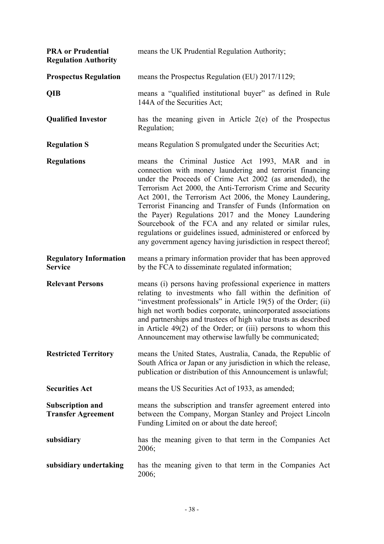| <b>PRA</b> or Prudential<br><b>Regulation Authority</b> | means the UK Prudential Regulation Authority;                                                                                                                                                                                                                                                                                                                                                                                                                                                                                                                                                                   |
|---------------------------------------------------------|-----------------------------------------------------------------------------------------------------------------------------------------------------------------------------------------------------------------------------------------------------------------------------------------------------------------------------------------------------------------------------------------------------------------------------------------------------------------------------------------------------------------------------------------------------------------------------------------------------------------|
| <b>Prospectus Regulation</b>                            | means the Prospectus Regulation (EU) 2017/1129;                                                                                                                                                                                                                                                                                                                                                                                                                                                                                                                                                                 |
| QIB                                                     | means a "qualified institutional buyer" as defined in Rule<br>144A of the Securities Act;                                                                                                                                                                                                                                                                                                                                                                                                                                                                                                                       |
| <b>Qualified Investor</b>                               | has the meaning given in Article $2(e)$ of the Prospectus<br>Regulation;                                                                                                                                                                                                                                                                                                                                                                                                                                                                                                                                        |
| <b>Regulation S</b>                                     | means Regulation S promulgated under the Securities Act;                                                                                                                                                                                                                                                                                                                                                                                                                                                                                                                                                        |
| <b>Regulations</b>                                      | means the Criminal Justice Act 1993, MAR and in<br>connection with money laundering and terrorist financing<br>under the Proceeds of Crime Act 2002 (as amended), the<br>Terrorism Act 2000, the Anti-Terrorism Crime and Security<br>Act 2001, the Terrorism Act 2006, the Money Laundering,<br>Terrorist Financing and Transfer of Funds (Information on<br>the Payer) Regulations 2017 and the Money Laundering<br>Sourcebook of the FCA and any related or similar rules,<br>regulations or guidelines issued, administered or enforced by<br>any government agency having jurisdiction in respect thereof; |
| <b>Regulatory Information</b><br><b>Service</b>         | means a primary information provider that has been approved<br>by the FCA to disseminate regulated information;                                                                                                                                                                                                                                                                                                                                                                                                                                                                                                 |
| <b>Relevant Persons</b>                                 | means (i) persons having professional experience in matters<br>relating to investments who fall within the definition of<br>"investment professionals" in Article $19(5)$ of the Order; (ii)<br>high net worth bodies corporate, unincorporated associations<br>and partnerships and trustees of high value trusts as described<br>in Article $49(2)$ of the Order; or (iii) persons to whom this<br>Announcement may otherwise lawfully be communicated;                                                                                                                                                       |
| <b>Restricted Territory</b>                             | means the United States, Australia, Canada, the Republic of<br>South Africa or Japan or any jurisdiction in which the release,<br>publication or distribution of this Announcement is unlawful;                                                                                                                                                                                                                                                                                                                                                                                                                 |
| <b>Securities Act</b>                                   | means the US Securities Act of 1933, as amended;                                                                                                                                                                                                                                                                                                                                                                                                                                                                                                                                                                |
| <b>Subscription and</b><br><b>Transfer Agreement</b>    | means the subscription and transfer agreement entered into<br>between the Company, Morgan Stanley and Project Lincoln<br>Funding Limited on or about the date hereof;                                                                                                                                                                                                                                                                                                                                                                                                                                           |
| subsidiary                                              | has the meaning given to that term in the Companies Act<br>2006;                                                                                                                                                                                                                                                                                                                                                                                                                                                                                                                                                |
| subsidiary undertaking                                  | has the meaning given to that term in the Companies Act<br>2006;                                                                                                                                                                                                                                                                                                                                                                                                                                                                                                                                                |